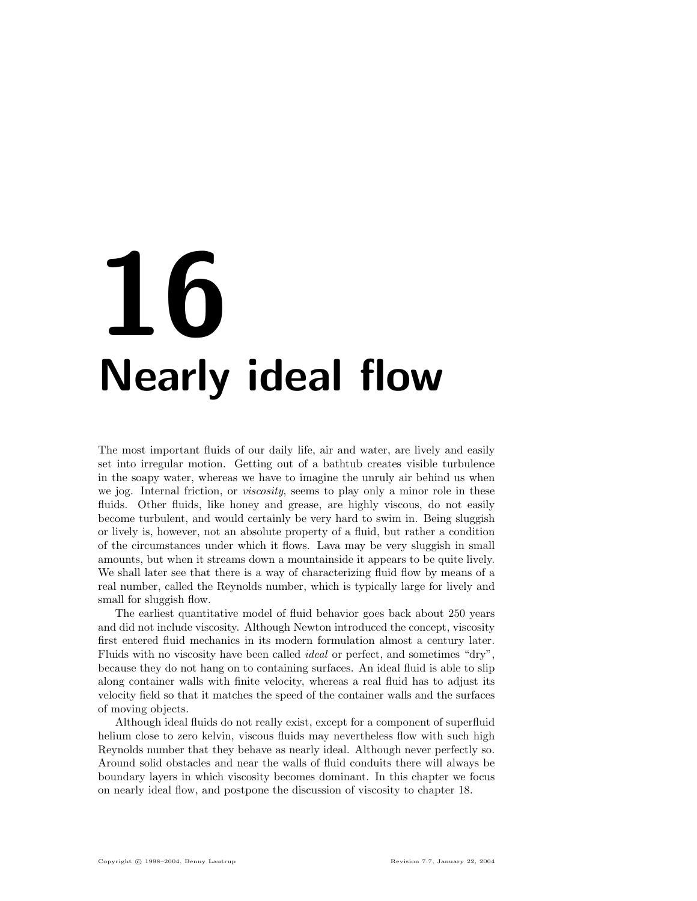# 16 Nearly ideal flow

The most important fluids of our daily life, air and water, are lively and easily set into irregular motion. Getting out of a bathtub creates visible turbulence in the soapy water, whereas we have to imagine the unruly air behind us when we jog. Internal friction, or *viscosity*, seems to play only a minor role in these fluids. Other fluids, like honey and grease, are highly viscous, do not easily become turbulent, and would certainly be very hard to swim in. Being sluggish or lively is, however, not an absolute property of a fluid, but rather a condition of the circumstances under which it flows. Lava may be very sluggish in small amounts, but when it streams down a mountainside it appears to be quite lively. We shall later see that there is a way of characterizing fluid flow by means of a real number, called the Reynolds number, which is typically large for lively and small for sluggish flow.

The earliest quantitative model of fluid behavior goes back about 250 years and did not include viscosity. Although Newton introduced the concept, viscosity first entered fluid mechanics in its modern formulation almost a century later. Fluids with no viscosity have been called ideal or perfect, and sometimes "dry", because they do not hang on to containing surfaces. An ideal fluid is able to slip along container walls with finite velocity, whereas a real fluid has to adjust its velocity field so that it matches the speed of the container walls and the surfaces of moving objects.

Although ideal fluids do not really exist, except for a component of superfluid helium close to zero kelvin, viscous fluids may nevertheless flow with such high Reynolds number that they behave as nearly ideal. Although never perfectly so. Around solid obstacles and near the walls of fluid conduits there will always be boundary layers in which viscosity becomes dominant. In this chapter we focus on nearly ideal flow, and postpone the discussion of viscosity to chapter 18.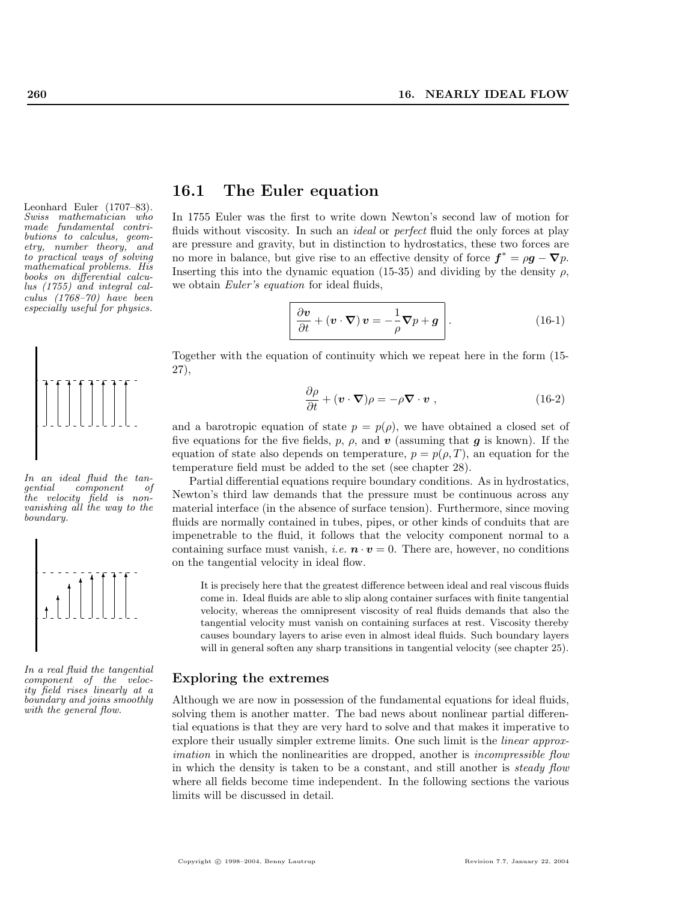Leonhard Euler (1707–83). Swiss mathematician who made fundamental contributions to calculus, geometry, number theory, and to practical ways of solving mathematical problems. His books on differential calculus (1755) and integral calculus (1768–70) have been especially useful for physics.



In an ideal fluid the tangential component of the velocity field is nonvanishing all the way to the boundary.



In a real fluid the tangential component of the velocity field rises linearly at a boundary and joins smoothly with the general flow.

### 16.1 The Euler equation

In 1755 Euler was the first to write down Newton's second law of motion for fluids without viscosity. In such an *ideal* or *perfect* fluid the only forces at play are pressure and gravity, but in distinction to hydrostatics, these two forces are no more in balance, but give rise to an effective density of force  $f^* = \rho g - \nabla p$ . Inserting this into the dynamic equation (15-35) and dividing by the density  $\rho$ , we obtain Euler's equation for ideal fluids,

$$
\frac{\partial \boldsymbol{v}}{\partial t} + (\boldsymbol{v} \cdot \boldsymbol{\nabla}) \, \boldsymbol{v} = -\frac{1}{\rho} \boldsymbol{\nabla} p + \boldsymbol{g} \qquad (16-1)
$$

Together with the equation of continuity which we repeat here in the form (15- 27),

$$
\frac{\partial \rho}{\partial t} + (\mathbf{v} \cdot \nabla)\rho = -\rho \nabla \cdot \mathbf{v} , \qquad (16-2)
$$

and a barotropic equation of state  $p = p(\rho)$ , we have obtained a closed set of five equations for the five fields, p,  $\rho$ , and v (assuming that g is known). If the equation of state also depends on temperature,  $p = p(\rho, T)$ , an equation for the temperature field must be added to the set (see chapter 28).

Partial differential equations require boundary conditions. As in hydrostatics, Newton's third law demands that the pressure must be continuous across any material interface (in the absence of surface tension). Furthermore, since moving fluids are normally contained in tubes, pipes, or other kinds of conduits that are impenetrable to the fluid, it follows that the velocity component normal to a containing surface must vanish, *i.e.*  $\mathbf{n} \cdot \mathbf{v} = 0$ . There are, however, no conditions on the tangential velocity in ideal flow.

It is precisely here that the greatest difference between ideal and real viscous fluids come in. Ideal fluids are able to slip along container surfaces with finite tangential velocity, whereas the omnipresent viscosity of real fluids demands that also the tangential velocity must vanish on containing surfaces at rest. Viscosity thereby causes boundary layers to arise even in almost ideal fluids. Such boundary layers will in general soften any sharp transitions in tangential velocity (see chapter 25).

#### Exploring the extremes

Although we are now in possession of the fundamental equations for ideal fluids, solving them is another matter. The bad news about nonlinear partial differential equations is that they are very hard to solve and that makes it imperative to explore their usually simpler extreme limits. One such limit is the *linear approx*imation in which the nonlinearities are dropped, another is *incompressible flow* in which the density is taken to be a constant, and still another is steady flow where all fields become time independent. In the following sections the various limits will be discussed in detail.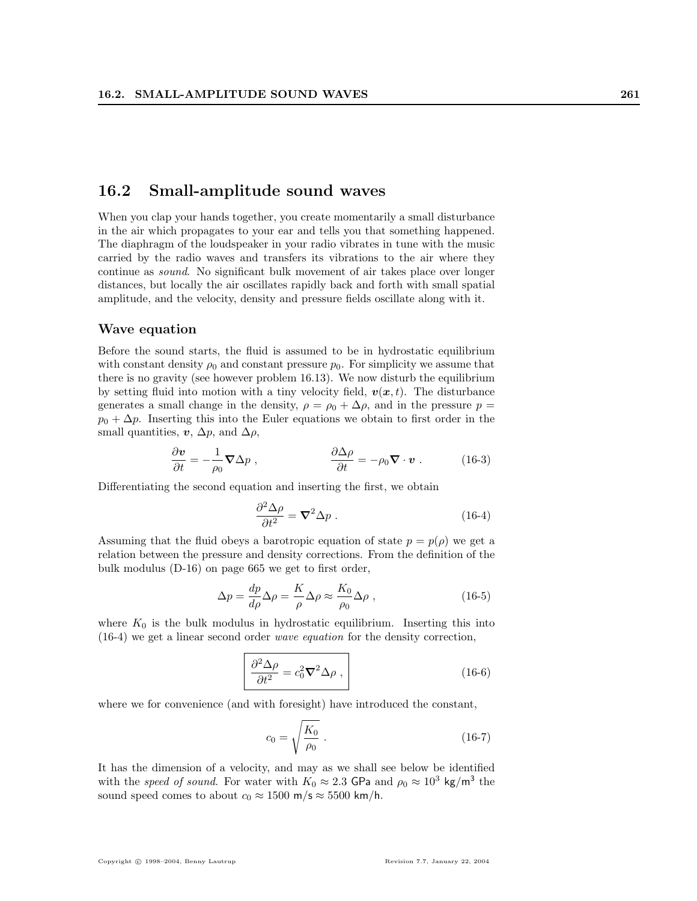#### 16.2 Small-amplitude sound waves

When you clap your hands together, you create momentarily a small disturbance in the air which propagates to your ear and tells you that something happened. The diaphragm of the loudspeaker in your radio vibrates in tune with the music carried by the radio waves and transfers its vibrations to the air where they continue as sound. No significant bulk movement of air takes place over longer distances, but locally the air oscillates rapidly back and forth with small spatial amplitude, and the velocity, density and pressure fields oscillate along with it.

#### Wave equation

Before the sound starts, the fluid is assumed to be in hydrostatic equilibrium with constant density  $\rho_0$  and constant pressure  $p_0$ . For simplicity we assume that there is no gravity (see however problem 16.13). We now disturb the equilibrium by setting fluid into motion with a tiny velocity field,  $v(x, t)$ . The disturbance generates a small change in the density,  $\rho = \rho_0 + \Delta \rho$ , and in the pressure  $p =$  $p_0 + \Delta p$ . Inserting this into the Euler equations we obtain to first order in the small quantities,  $v$ ,  $\Delta p$ , and  $\Delta \rho$ ,

$$
\frac{\partial \mathbf{v}}{\partial t} = -\frac{1}{\rho_0} \nabla \Delta p \;, \qquad \frac{\partial \Delta \rho}{\partial t} = -\rho_0 \nabla \cdot \mathbf{v} \; . \tag{16-3}
$$

Differentiating the second equation and inserting the first, we obtain

$$
\frac{\partial^2 \Delta \rho}{\partial t^2} = \nabla^2 \Delta p \ . \tag{16-4}
$$

Assuming that the fluid obeys a barotropic equation of state  $p = p(\rho)$  we get a relation between the pressure and density corrections. From the definition of the bulk modulus (D-16) on page 665 we get to first order,

$$
\Delta p = \frac{dp}{d\rho} \Delta \rho = \frac{K}{\rho} \Delta \rho \approx \frac{K_0}{\rho_0} \Delta \rho , \qquad (16-5)
$$

where  $K_0$  is the bulk modulus in hydrostatic equilibrium. Inserting this into (16-4) we get a linear second order wave equation for the density correction,

$$
\frac{\partial^2 \Delta \rho}{\partial t^2} = c_0^2 \nabla^2 \Delta \rho \;, \tag{16-6}
$$

where we for convenience (and with foresight) have introduced the constant,

$$
c_0 = \sqrt{\frac{K_0}{\rho_0}} \ . \tag{16-7}
$$

It has the dimension of a velocity, and may as we shall see below be identified with the speed of sound. For water with  $K_0 \approx 2.3$  GPa and  $\rho_0 \approx 10^3$  kg/m<sup>3</sup> the sound speed comes to about  $c_0 \approx 1500 \text{ m/s} \approx 5500 \text{ km/h}$ .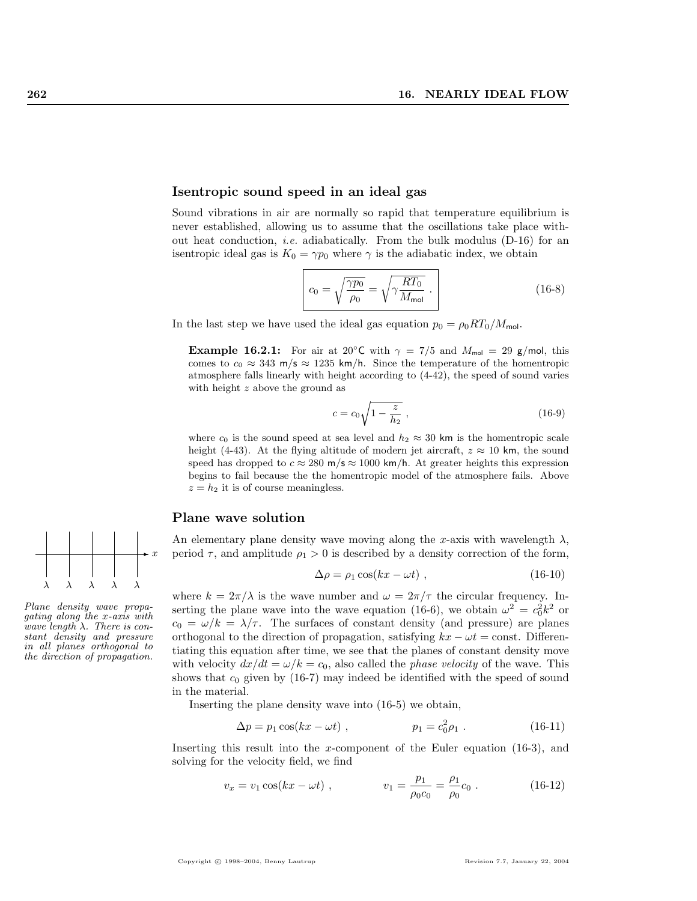#### Isentropic sound speed in an ideal gas

Sound vibrations in air are normally so rapid that temperature equilibrium is never established, allowing us to assume that the oscillations take place without heat conduction, i.e. adiabatically. From the bulk modulus (D-16) for an is entropic ideal gas is  $K_0 = \gamma p_0$  where  $\gamma$  is the adiabatic index, we obtain

$$
c_0 = \sqrt{\frac{\gamma p_0}{\rho_0}} = \sqrt{\gamma \frac{RT_0}{M_{\text{mol}}}}.
$$
 (16-8)

In the last step we have used the ideal gas equation  $p_0 = \rho_0 RT_0/M_{\text{mol}}$ .

**Example 16.2.1:** For air at 20<sup>°</sup>C with  $\gamma = 7/5$  and  $M_{\text{mol}} = 29$  g/mol, this comes to  $c_0 \approx 343$  m/s  $\approx 1235$  km/h. Since the temperature of the homentropic atmosphere falls linearly with height according to (4-42), the speed of sound varies with height z above the ground as

$$
c = c_0 \sqrt{1 - \frac{z}{h_2}} \,,\tag{16-9}
$$

where  $c_0$  is the sound speed at sea level and  $h_2 \approx 30$  km is the homentropic scale height (4-43). At the flying altitude of modern jet aircraft,  $z \approx 10$  km, the sound speed has dropped to  $c \approx 280$  m/s  $\approx 1000$  km/h. At greater heights this expression begins to fail because the the homentropic model of the atmosphere fails. Above  $z = h_2$  it is of course meaningless.

#### Plane wave solution

An elementary plane density wave moving along the x-axis with wavelength  $\lambda$ , period  $\tau$ , and amplitude  $\rho_1 > 0$  is described by a density correction of the form,

$$
\Delta \rho = \rho_1 \cos(kx - \omega t) \tag{16-10}
$$

where  $k = 2\pi/\lambda$  is the wave number and  $\omega = 2\pi/\tau$  the circular frequency. Inserting the plane wave into the wave equation (16-6), we obtain  $\omega^2 = c_0^2 k^2$  or  $c_0 = \omega/k = \lambda/\tau$ . The surfaces of constant density (and pressure) are planes orthogonal to the direction of propagation, satisfying  $kx - \omega t = \text{const.}$  Differentiating this equation after time, we see that the planes of constant density move with velocity  $dx/dt = \omega/k = c_0$ , also called the *phase velocity* of the wave. This shows that  $c_0$  given by (16-7) may indeed be identified with the speed of sound in the material.

Inserting the plane density wave into (16-5) we obtain,

$$
\Delta p = p_1 \cos(kx - \omega t) , \qquad p_1 = c_0^2 \rho_1 . \qquad (16-11)
$$

Inserting this result into the x-component of the Euler equation (16-3), and solving for the velocity field, we find

$$
v_x = v_1 \cos(kx - \omega t) , \qquad v_1 = \frac{p_1}{\rho_0 c_0} = \frac{\rho_1}{\rho_0} c_0 . \qquad (16-12)
$$



Plane density wave propagating along the x-axis with wave length  $\lambda$ . There is constant density and pressure in all planes orthogonal to the direction of propagation.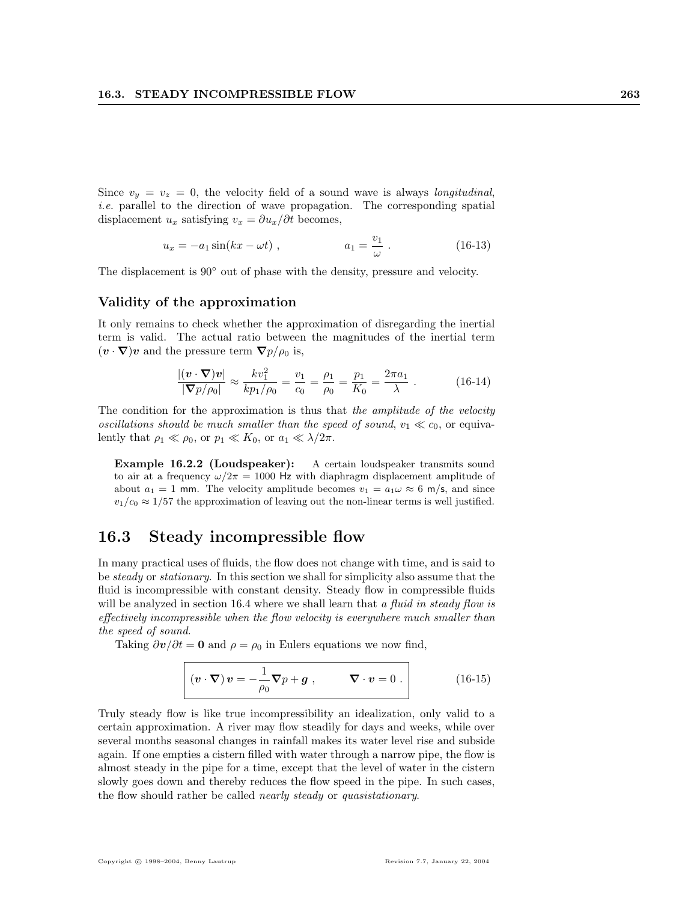Since  $v_y = v_z = 0$ , the velocity field of a sound wave is always *longitudinal*, i.e. parallel to the direction of wave propagation. The corresponding spatial displacement  $u_x$  satisfying  $v_x = \partial u_x / \partial t$  becomes,

$$
u_x = -a_1 \sin(kx - \omega t) , \qquad a_1 = \frac{v_1}{\omega} . \qquad (16-13)
$$

The displacement is 90◦ out of phase with the density, pressure and velocity.

#### Validity of the approximation

It only remains to check whether the approximation of disregarding the inertial term is valid. The actual ratio between the magnitudes of the inertial term  $(v \cdot \nabla)v$  and the pressure term  $\nabla p/\rho_0$  is,

$$
\frac{|(\mathbf{v} \cdot \nabla)\mathbf{v}|}{|\nabla p/\rho_0|} \approx \frac{k v_1^2}{k p_1/\rho_0} = \frac{v_1}{c_0} = \frac{\rho_1}{\rho_0} = \frac{p_1}{K_0} = \frac{2\pi a_1}{\lambda} . \tag{16-14}
$$

The condition for the approximation is thus that the amplitude of the velocity oscillations should be much smaller than the speed of sound,  $v_1 \ll c_0$ , or equivalently that  $\rho_1 \ll \rho_0$ , or  $p_1 \ll K_0$ , or  $a_1 \ll \lambda/2\pi$ .

Example 16.2.2 (Loudspeaker): A certain loudspeaker transmits sound to air at a frequency  $\omega/2\pi = 1000$  Hz with diaphragm displacement amplitude of about  $a_1 = 1$  mm. The velocity amplitude becomes  $v_1 = a_1 \omega \approx 6$  m/s, and since  $v_1/c_0 \approx 1/57$  the approximation of leaving out the non-linear terms is well justified.

### 16.3 Steady incompressible flow

In many practical uses of fluids, the flow does not change with time, and is said to be steady or stationary. In this section we shall for simplicity also assume that the fluid is incompressible with constant density. Steady flow in compressible fluids will be analyzed in section 16.4 where we shall learn that a fluid in steady flow is effectively incompressible when the flow velocity is everywhere much smaller than the speed of sound.

Taking  $\partial v/\partial t = 0$  and  $\rho = \rho_0$  in Eulers equations we now find,

$$
\left| \left( \boldsymbol{v} \cdot \boldsymbol{\nabla} \right) \boldsymbol{v} = -\frac{1}{\rho_0} \boldsymbol{\nabla} p + \boldsymbol{g} \right|, \qquad \boldsymbol{\nabla} \cdot \boldsymbol{v} = 0 \right| \tag{16-15}
$$

Truly steady flow is like true incompressibility an idealization, only valid to a certain approximation. A river may flow steadily for days and weeks, while over several months seasonal changes in rainfall makes its water level rise and subside again. If one empties a cistern filled with water through a narrow pipe, the flow is almost steady in the pipe for a time, except that the level of water in the cistern slowly goes down and thereby reduces the flow speed in the pipe. In such cases, the flow should rather be called nearly steady or quasistationary.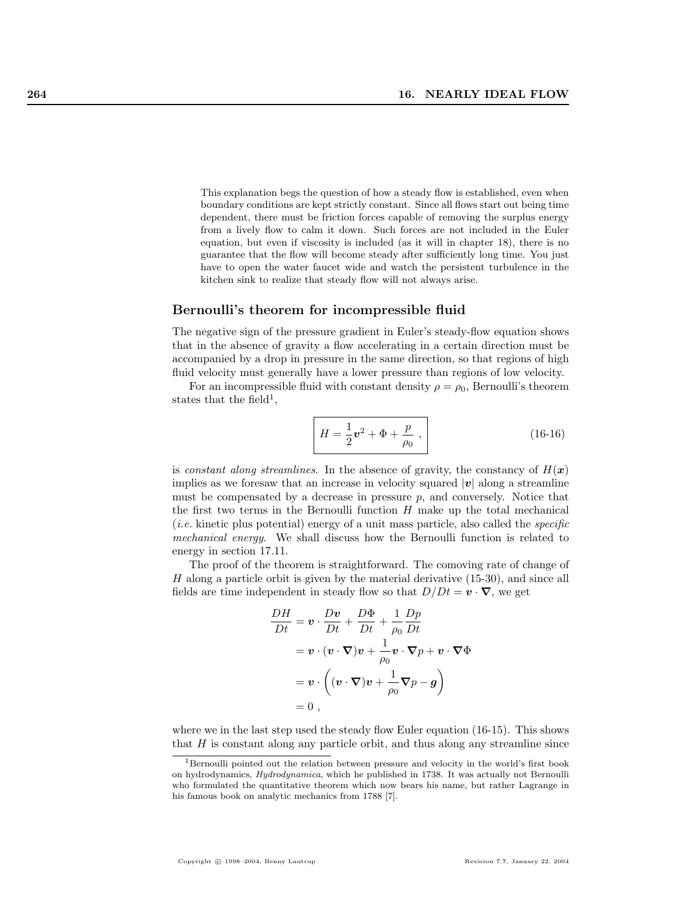This explanation begs the question of how a steady flow is established, even when boundary conditions are kept strictly constant. Since all flows start out being time dependent, there must be friction forces capable of removing the surplus energy from a lively flow to calm it down. Such forces are not included in the Euler equation, but even if viscosity is included (as it will in chapter 18), there is no guarantee that the flow will become steady after sufficiently long time. You just have to open the water faucet wide and watch the persistent turbulence in the kitchen sink to realize that steady flow will not always arise.

#### Bernoulli's theorem for incompressible fluid

The negative sign of the pressure gradient in Euler's steady-flow equation shows that in the absence of gravity a flow accelerating in a certain direction must be accompanied by a drop in pressure in the same direction, so that regions of high fluid velocity must generally have a lower pressure than regions of low velocity.

For an incompressible fluid with constant density  $\rho = \rho_0$ , Bernoulli's theorem states that the field<sup>1</sup>,

$$
H = \frac{1}{2}v^2 + \Phi + \frac{p}{\rho_0},
$$
 (16-16)

is constant along streamlines. In the absence of gravity, the constancy of  $H(x)$ implies as we foresaw that an increase in velocity squared  $|v|$  along a streamline must be compensated by a decrease in pressure  $p$ , and conversely. Notice that the first two terms in the Bernoulli function  $H$  make up the total mechanical  $(i.e.$  kinetic plus potential) energy of a unit mass particle, also called the *specific* mechanical energy. We shall discuss how the Bernoulli function is related to energy in section 17.11.

The proof of the theorem is straightforward. The comoving rate of change of H along a particle orbit is given by the material derivative (15-30), and since all fields are time independent in steady flow so that  $D/Dt = \mathbf{v} \cdot \nabla$ , we get

$$
\frac{DH}{Dt} = \mathbf{v} \cdot \frac{D\mathbf{v}}{Dt} + \frac{D\Phi}{Dt} + \frac{1}{\rho_0} \frac{Dp}{Dt}
$$
  
=  $\mathbf{v} \cdot (\mathbf{v} \cdot \nabla)\mathbf{v} + \frac{1}{\rho_0} \mathbf{v} \cdot \nabla p + \mathbf{v} \cdot \nabla \Phi$   
=  $\mathbf{v} \cdot \left( (\mathbf{v} \cdot \nabla)\mathbf{v} + \frac{1}{\rho_0} \nabla p - \mathbf{g} \right)$   
= 0,

where we in the last step used the steady flow Euler equation (16-15). This shows that  $H$  is constant along any particle orbit, and thus along any streamline since

<sup>&</sup>lt;sup>1</sup>Bernoulli pointed out the relation between pressure and velocity in the world's first book on hydrodynamics, Hydrodynamica, which he published in 1738. It was actually not Bernoulli who formulated the quantitative theorem which now bears his name, but rather Lagrange in his famous book on analytic mechanics from 1788 [7].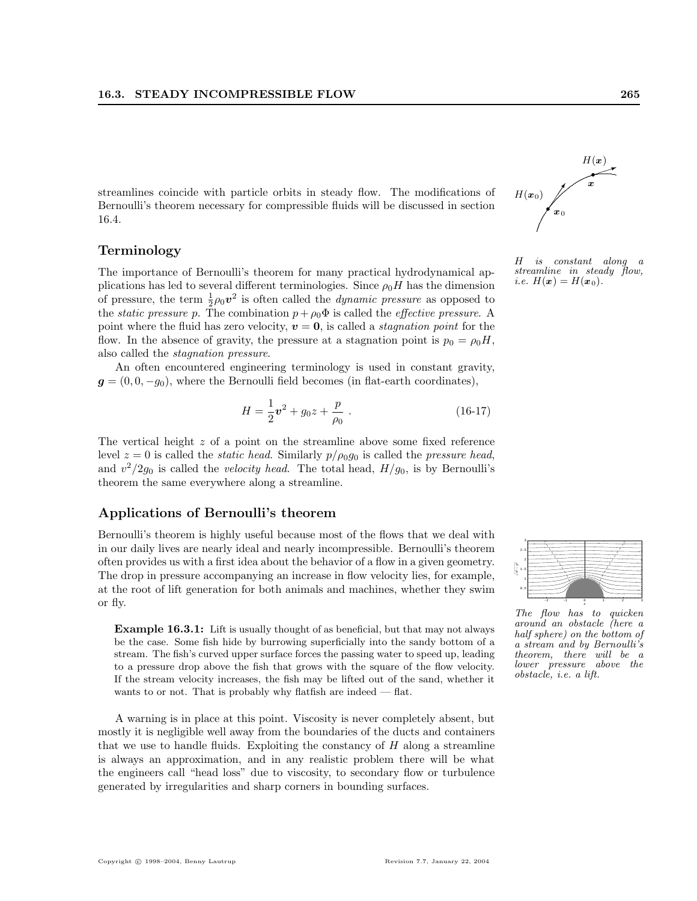streamlines coincide with particle orbits in steady flow. The modifications of Bernoulli's theorem necessary for compressible fluids will be discussed in section 16.4.

#### Terminology

The importance of Bernoulli's theorem for many practical hydrodynamical applications has led to several different terminologies. Since  $\rho_0H$  has the dimension of pressure, the term  $\frac{1}{2}\rho_0 v^2$  is often called the *dynamic pressure* as opposed to the *static pressure p*. The combination  $p + \rho_0 \Phi$  is called the *effective pressure*. A point where the fluid has zero velocity,  $v = 0$ , is called a *stagnation point* for the flow. In the absence of gravity, the pressure at a stagnation point is  $p_0 = \rho_0 H$ , also called the stagnation pressure.

An often encountered engineering terminology is used in constant gravity,  $g = (0, 0, -g_0)$ , where the Bernoulli field becomes (in flat-earth coordinates),

$$
H = \frac{1}{2}\mathbf{v}^2 + g_0 z + \frac{p}{\rho_0} \,. \tag{16-17}
$$

The vertical height z of a point on the streamline above some fixed reference level  $z = 0$  is called the *static head*. Similarly  $p/\rho_0 g_0$  is called the *pressure head*, and  $v^2/2g_0$  is called the *velocity head*. The total head,  $H/g_0$ , is by Bernoulli's theorem the same everywhere along a streamline.

#### Applications of Bernoulli's theorem

Bernoulli's theorem is highly useful because most of the flows that we deal with in our daily lives are nearly ideal and nearly incompressible. Bernoulli's theorem often provides us with a first idea about the behavior of a flow in a given geometry. The drop in pressure accompanying an increase in flow velocity lies, for example, at the root of lift generation for both animals and machines, whether they swim or fly.

Example 16.3.1: Lift is usually thought of as beneficial, but that may not always be the case. Some fish hide by burrowing superficially into the sandy bottom of a stream. The fish's curved upper surface forces the passing water to speed up, leading to a pressure drop above the fish that grows with the square of the flow velocity. If the stream velocity increases, the fish may be lifted out of the sand, whether it wants to or not. That is probably why flatfish are indeed — flat.

A warning is in place at this point. Viscosity is never completely absent, but mostly it is negligible well away from the boundaries of the ducts and containers that we use to handle fluids. Exploiting the constancy of  $H$  along a streamline is always an approximation, and in any realistic problem there will be what the engineers call "head loss" due to viscosity, to secondary flow or turbulence generated by irregularities and sharp corners in bounding surfaces.



H is constant along a streamline in steady flow, *i.e.*  $H(x) = H(x_0)$ .



The flow has to quicken around an obstacle (here a half sphere) on the bottom of a stream and by Bernoulli's theorem, there will be a lower pressure above the obstacle, i.e. a lift.

z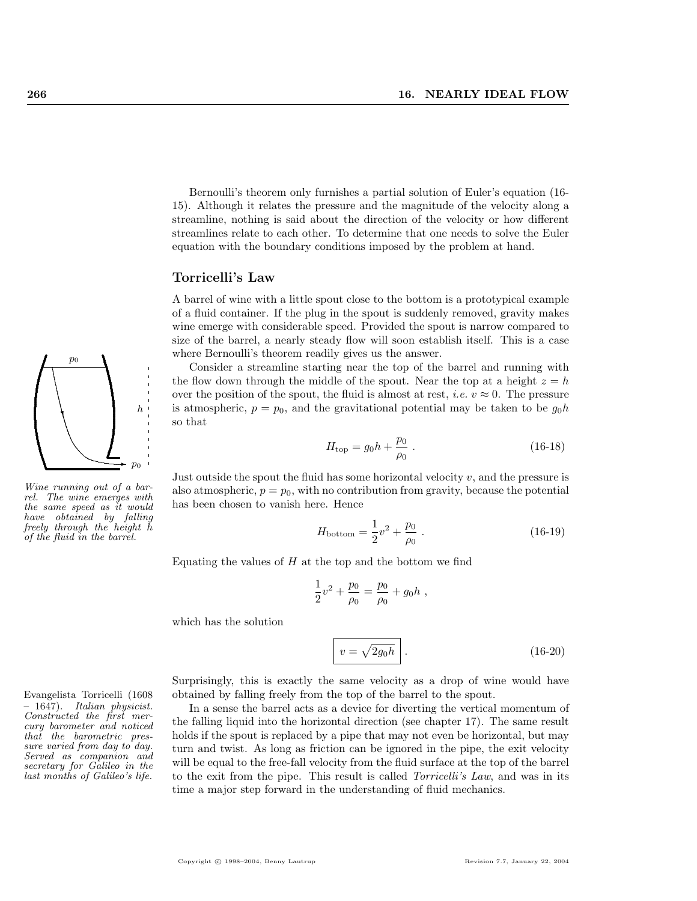Bernoulli's theorem only furnishes a partial solution of Euler's equation (16- 15). Although it relates the pressure and the magnitude of the velocity along a streamline, nothing is said about the direction of the velocity or how different streamlines relate to each other. To determine that one needs to solve the Euler equation with the boundary conditions imposed by the problem at hand.

#### Torricelli's Law

A barrel of wine with a little spout close to the bottom is a prototypical example of a fluid container. If the plug in the spout is suddenly removed, gravity makes wine emerge with considerable speed. Provided the spout is narrow compared to size of the barrel, a nearly steady flow will soon establish itself. This is a case where Bernoulli's theorem readily gives us the answer.

Consider a streamline starting near the top of the barrel and running with the flow down through the middle of the spout. Near the top at a height  $z = h$ over the position of the spout, the fluid is almost at rest, *i.e.*  $v \approx 0$ . The pressure is atmospheric,  $p = p_0$ , and the gravitational potential may be taken to be  $g_0 h$ so that

$$
H_{\rm top} = g_0 h + \frac{p_0}{\rho_0} \ . \tag{16-18}
$$

Just outside the spout the fluid has some horizontal velocity  $v$ , and the pressure is also atmospheric,  $p = p_0$ , with no contribution from gravity, because the potential has been chosen to vanish here. Hence

$$
H_{\text{bottom}} = \frac{1}{2}v^2 + \frac{p_0}{\rho_0} \tag{16-19}
$$

Equating the values of  $H$  at the top and the bottom we find

$$
\frac{1}{2}v^2 + \frac{p_0}{\rho_0} = \frac{p_0}{\rho_0} + g_0 h ,
$$

which has the solution

$$
v = \sqrt{2g_0h}.
$$
 (16-20)

Surprisingly, this is exactly the same velocity as a drop of wine would have Evangelista Torricelli (1608 obtained by falling freely from the top of the barrel to the spout.

> In a sense the barrel acts as a device for diverting the vertical momentum of the falling liquid into the horizontal direction (see chapter 17). The same result holds if the spout is replaced by a pipe that may not even be horizontal, but may turn and twist. As long as friction can be ignored in the pipe, the exit velocity will be equal to the free-fall velocity from the fluid surface at the top of the barrel to the exit from the pipe. This result is called Torricelli's Law, and was in its time a major step forward in the understanding of fluid mechanics.

q q ............................ ✲ ◆ p0 h Wine running out of a bar-

.

 $\overline{p}_0$ 

rel. The wine emerges with the same speed as it would have obtained by falling freely through the height h of the fluid in the barrel.

– 1647). Italian physicist. Constructed the first mercury barometer and noticed that the barometric pressure varied from day to day. Served as companion and secretary for Galileo in the last months of Galileo's life.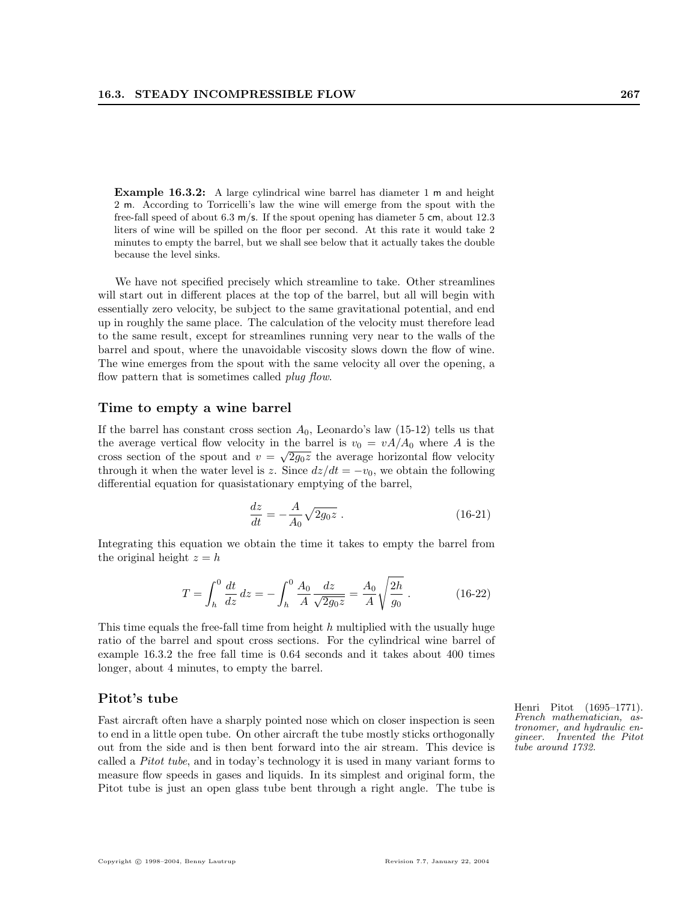Example 16.3.2: A large cylindrical wine barrel has diameter 1 m and height 2 m. According to Torricelli's law the wine will emerge from the spout with the free-fall speed of about 6.3 m/s. If the spout opening has diameter 5 cm, about 12.3 liters of wine will be spilled on the floor per second. At this rate it would take 2 minutes to empty the barrel, but we shall see below that it actually takes the double because the level sinks.

We have not specified precisely which streamline to take. Other streamlines will start out in different places at the top of the barrel, but all will begin with essentially zero velocity, be subject to the same gravitational potential, and end up in roughly the same place. The calculation of the velocity must therefore lead to the same result, except for streamlines running very near to the walls of the barrel and spout, where the unavoidable viscosity slows down the flow of wine. The wine emerges from the spout with the same velocity all over the opening, a flow pattern that is sometimes called *plug flow*.

#### Time to empty a wine barrel

If the barrel has constant cross section  $A_0$ , Leonardo's law (15-12) tells us that the average vertical flow velocity in the barrel is  $v_0 = vA/A_0$  where A is the cross section of the spout and  $v = \sqrt{2g_0z}$  the average horizontal flow velocity through it when the water level is z. Since  $dz/dt = -v_0$ , we obtain the following differential equation for quasistationary emptying of the barrel,

$$
\frac{dz}{dt} = -\frac{A}{A_0} \sqrt{2g_0 z} \ . \tag{16-21}
$$

Integrating this equation we obtain the time it takes to empty the barrel from the original height  $z = h$ 

$$
T = \int_{h}^{0} \frac{dt}{dz} dz = -\int_{h}^{0} \frac{A_0}{A} \frac{dz}{\sqrt{2g_0 z}} = \frac{A_0}{A} \sqrt{\frac{2h}{g_0}}.
$$
 (16-22)

This time equals the free-fall time from height  $h$  multiplied with the usually huge ratio of the barrel and spout cross sections. For the cylindrical wine barrel of example 16.3.2 the free fall time is 0.64 seconds and it takes about 400 times longer, about 4 minutes, to empty the barrel.

Fast aircraft often have a sharply pointed nose which on closer inspection is seen to end in a little open tube. On other aircraft the tube mostly sticks orthogonally out from the side and is then bent forward into the air stream. This device is called a Pitot tube, and in today's technology it is used in many variant forms to measure flow speeds in gases and liquids. In its simplest and original form, the Pitot tube is just an open glass tube bent through a right angle. The tube is

Pitot's tube Henri Pitot (1695–1771). French mathematician, astronomer, and hydraulic engineer. Invented the Pitot tube around 1732.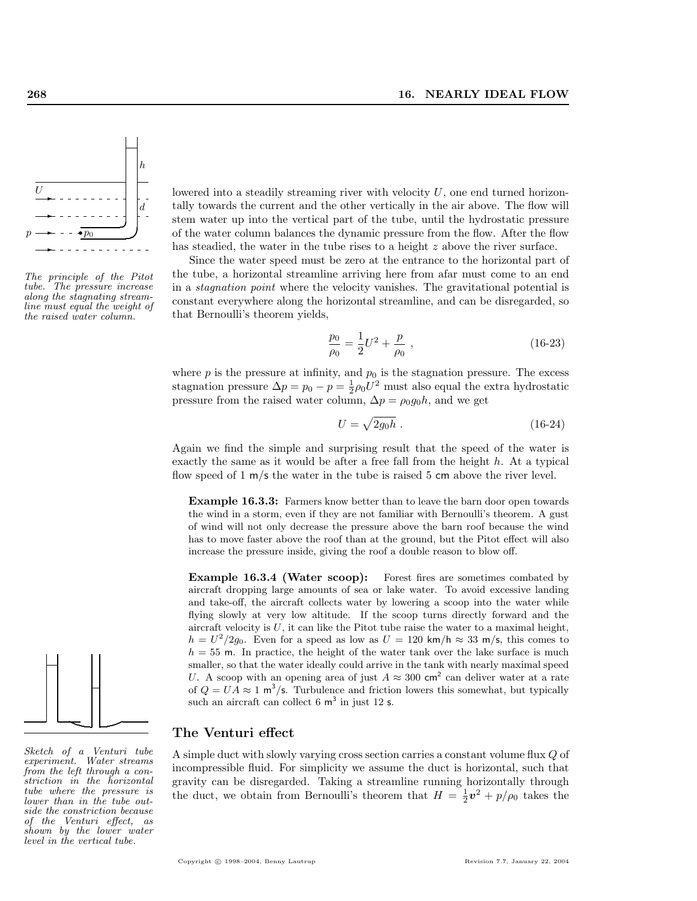

The principle of the Pitot tube. The pressure increase along the stagnating streamline must equal the weight of the raised water column.



Since the water speed must be zero at the entrance to the horizontal part of the tube, a horizontal streamline arriving here from afar must come to an end in a stagnation point where the velocity vanishes. The gravitational potential is constant everywhere along the horizontal streamline, and can be disregarded, so that Bernoulli's theorem yields,

$$
\frac{p_0}{\rho_0} = \frac{1}{2}U^2 + \frac{p}{\rho_0} \tag{16-23}
$$

where  $p$  is the pressure at infinity, and  $p_0$  is the stagnation pressure. The excess stagnation pressure  $\Delta p = p_0 - p = \frac{1}{2}\rho_0 U^2$  must also equal the extra hydrostatic pressure from the raised water column,  $\Delta p = \rho_0 g_0 h$ , and we get

$$
U = \sqrt{2g_0h} \tag{16-24}
$$

Again we find the simple and surprising result that the speed of the water is exactly the same as it would be after a free fall from the height  $h$ . At a typical flow speed of 1 m/s the water in the tube is raised 5 cm above the river level.

Example 16.3.3: Farmers know better than to leave the barn door open towards the wind in a storm, even if they are not familiar with Bernoulli's theorem. A gust of wind will not only decrease the pressure above the barn roof because the wind has to move faster above the roof than at the ground, but the Pitot effect will also increase the pressure inside, giving the roof a double reason to blow off.

Example 16.3.4 (Water scoop): Forest fires are sometimes combated by aircraft dropping large amounts of sea or lake water. To avoid excessive landing and take-off, the aircraft collects water by lowering a scoop into the water while flying slowly at very low altitude. If the scoop turns directly forward and the aircraft velocity is  $U$ , it can like the Pitot tube raise the water to a maximal height,  $h = U^2/2g_0$ . Even for a speed as low as  $U = 120 \text{ km/h} \approx 33 \text{ m/s}$ , this comes to  $h = 55$  m. In practice, the height of the water tank over the lake surface is much smaller, so that the water ideally could arrive in the tank with nearly maximal speed U. A scoop with an opening area of just  $A \approx 300 \text{ cm}^2$  can deliver water at a rate of  $Q = UA \approx 1$  m<sup>3</sup>/s. Turbulence and friction lowers this somewhat, but typically such an aircraft can collect  $6 \text{ m}^3$  in just 12 s.

#### The Venturi effect

A simple duct with slowly varying cross section carries a constant volume flux Q of incompressible fluid. For simplicity we assume the duct is horizontal, such that gravity can be disregarded. Taking a streamline running horizontally through the duct, we obtain from Bernoulli's theorem that  $H = \frac{1}{2}v^2 + p/\rho_0$  takes the



Sketch of a Venturi tube experiment. Water streams from the left through a constriction in the horizontal tube where the pressure is lower than in the tube outside the constriction because of the Venturi effect, as shown by the lower water level in the vertical tube.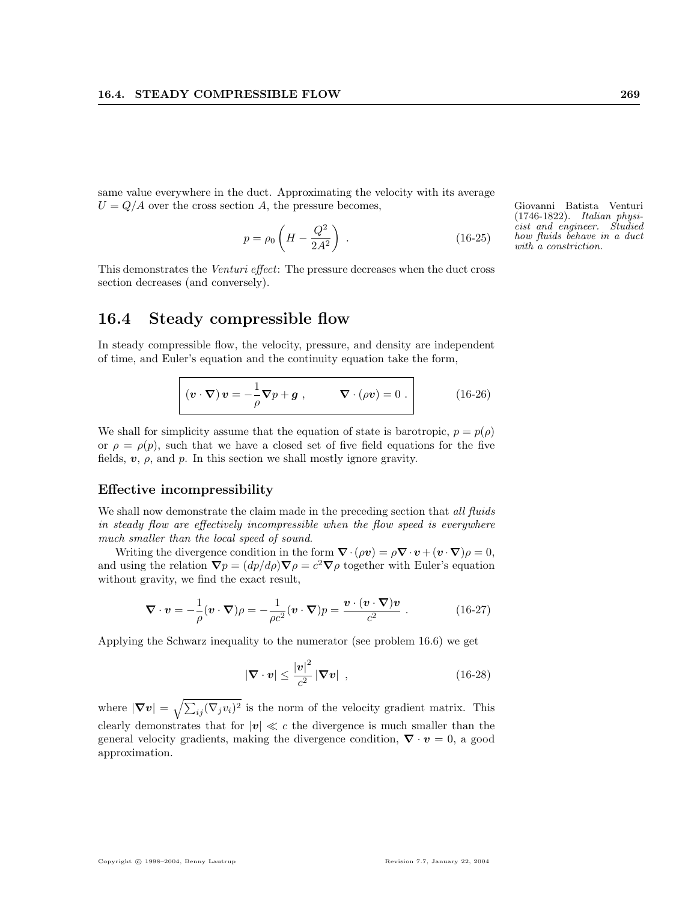same value everywhere in the duct. Approximating the velocity with its average  $U = Q/A$  over the cross section A, the pressure becomes, Giovanni Batista Venturi

$$
p = \rho_0 \left( H - \frac{Q^2}{2A^2} \right) \,. \tag{16-25}
$$

This demonstrates the Venturi effect: The pressure decreases when the duct cross section decreases (and conversely).

#### 16.4 Steady compressible flow

In steady compressible flow, the velocity, pressure, and density are independent of time, and Euler's equation and the continuity equation take the form,

$$
(\boldsymbol{v} \cdot \boldsymbol{\nabla}) \, \boldsymbol{v} = -\frac{1}{\rho} \boldsymbol{\nabla} p + \boldsymbol{g} \;, \qquad \boldsymbol{\nabla} \cdot (\rho \boldsymbol{v}) = 0 \; . \tag{16-26}
$$

We shall for simplicity assume that the equation of state is barotropic,  $p = p(\rho)$ or  $\rho = \rho(p)$ , such that we have a closed set of five field equations for the five fields,  $v$ ,  $\rho$ , and  $p$ . In this section we shall mostly ignore gravity.

#### Effective incompressibility

We shall now demonstrate the claim made in the preceding section that all fluids in steady flow are effectively incompressible when the flow speed is everywhere much smaller than the local speed of sound.

Writing the divergence condition in the form  $\nabla \cdot (\rho \mathbf{v}) = \rho \nabla \cdot \mathbf{v} + (\mathbf{v} \cdot \nabla) \rho = 0$ , and using the relation  $\nabla p = (dp/d\rho)\nabla \rho = c^2 \nabla \rho$  together with Euler's equation without gravity, we find the exact result,

$$
\nabla \cdot \mathbf{v} = -\frac{1}{\rho} (\mathbf{v} \cdot \nabla)\rho = -\frac{1}{\rho c^2} (\mathbf{v} \cdot \nabla)p = \frac{\mathbf{v} \cdot (\mathbf{v} \cdot \nabla)\mathbf{v}}{c^2} .
$$
 (16-27)

Applying the Schwarz inequality to the numerator (see problem 16.6) we get

$$
|\nabla \cdot \mathbf{v}| \le \frac{|\mathbf{v}|^2}{c^2} |\nabla \mathbf{v}| \tag{16-28}
$$

where  $|\nabla v| = \sqrt{\sum}$  $i_j(\nabla_j v_i)^2$  is the norm of the velocity gradient matrix. This clearly demonstrates that for  $|v| \ll c$  the divergence is much smaller than the general velocity gradients, making the divergence condition,  $\nabla \cdot \mathbf{v} = 0$ , a good approximation.

(1746-1822). Italian physicist and engineer. Studied how fluids behave in a duct with a constriction.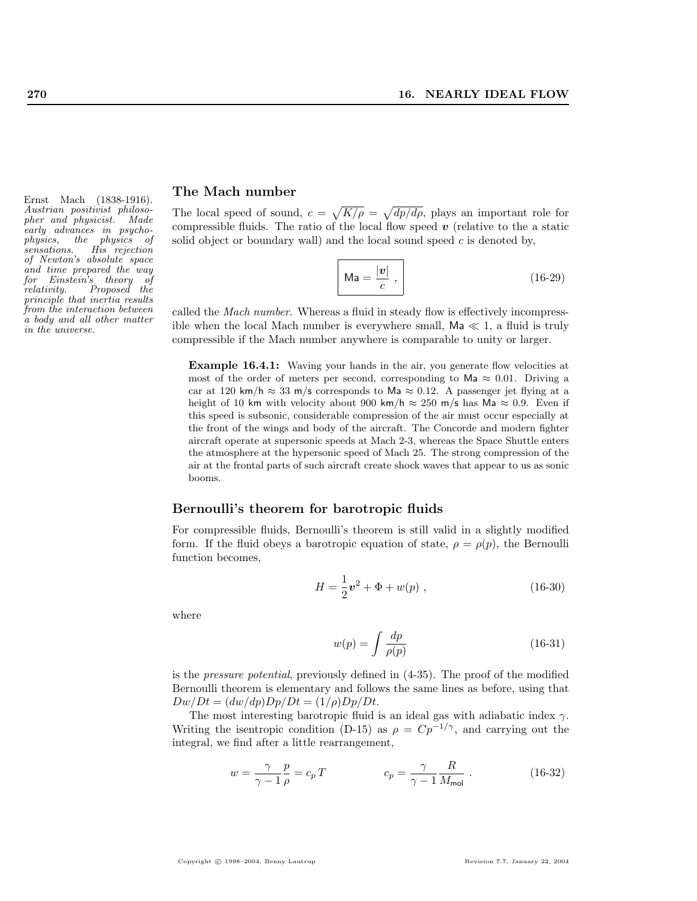Austrian positivist philosopher and physicist. Made early advances in psycho-<br>physics, the physics of physics, the physics of sensations. His rejection of Newton's absolute space and time prepared the way for Einstein's theory of relativity. Proposed the principle that inertia results from the interaction between a body and all other matter in the universe.

## Ernst Mach (1838-1916). The Mach number

The local speed of sound,  $c =$ p  $K/\rho =$ p  $dp/d\rho$ , plays an important role for compressible fluids. The ratio of the local flow speed  $v$  (relative to the a static solid object or boundary wall) and the local sound speed  $c$  is denoted by,

$$
\mathsf{Ma} = \frac{|\mathbf{v}|}{c},\tag{16-29}
$$

called the Mach number. Whereas a fluid in steady flow is effectively incompressible when the local Mach number is everywhere small,  $\mathsf{Ma} \ll 1$ , a fluid is truly compressible if the Mach number anywhere is comparable to unity or larger.

Example 16.4.1: Waving your hands in the air, you generate flow velocities at most of the order of meters per second, corresponding to Ma  $\approx 0.01$ . Driving a car at 120 km/h  $\approx$  33 m/s corresponds to Ma  $\approx$  0.12. A passenger jet flying at a height of 10 km with velocity about 900 km/h  $\approx 250$  m/s has Ma  $\approx 0.9$ . Even if this speed is subsonic, considerable compression of the air must occur especially at the front of the wings and body of the aircraft. The Concorde and modern fighter aircraft operate at supersonic speeds at Mach 2-3, whereas the Space Shuttle enters the atmosphere at the hypersonic speed of Mach 25. The strong compression of the air at the frontal parts of such aircraft create shock waves that appear to us as sonic booms.

#### Bernoulli's theorem for barotropic fluids

For compressible fluids, Bernoulli's theorem is still valid in a slightly modified form. If the fluid obeys a barotropic equation of state,  $\rho = \rho(p)$ , the Bernoulli function becomes,

$$
H = \frac{1}{2}\mathbf{v}^2 + \Phi + w(p) , \qquad (16-30)
$$

where

$$
w(p) = \int \frac{dp}{\rho(p)}\tag{16-31}
$$

is the pressure potential, previously defined in (4-35). The proof of the modified Bernoulli theorem is elementary and follows the same lines as before, using that  $Dw/Dt = (dw/dp)Dp/Dt = (1/\rho)Dp/Dt.$ 

The most interesting barotropic fluid is an ideal gas with adiabatic index  $\gamma$ . Writing the isentropic condition (D-15) as  $\rho = Cp^{-1/\gamma}$ , and carrying out the integral, we find after a little rearrangement,

$$
w = \frac{\gamma}{\gamma - 1} \frac{p}{\rho} = c_p T \qquad \qquad c_p = \frac{\gamma}{\gamma - 1} \frac{R}{M_{\text{mol}}} \ . \tag{16-32}
$$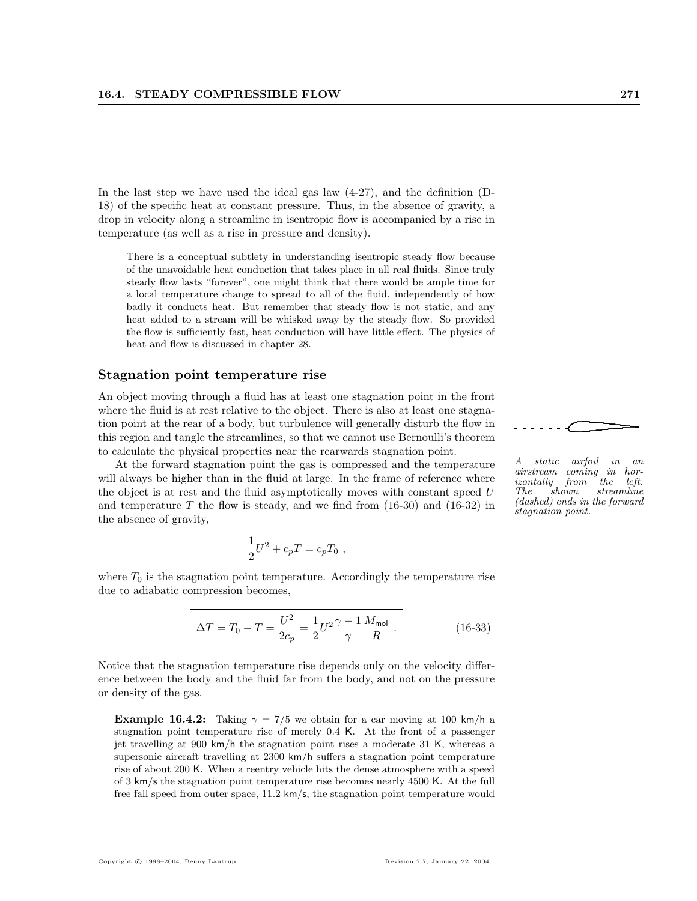In the last step we have used the ideal gas law (4-27), and the definition (D-18) of the specific heat at constant pressure. Thus, in the absence of gravity, a drop in velocity along a streamline in isentropic flow is accompanied by a rise in temperature (as well as a rise in pressure and density).

There is a conceptual subtlety in understanding isentropic steady flow because of the unavoidable heat conduction that takes place in all real fluids. Since truly steady flow lasts "forever", one might think that there would be ample time for a local temperature change to spread to all of the fluid, independently of how badly it conducts heat. But remember that steady flow is not static, and any heat added to a stream will be whisked away by the steady flow. So provided the flow is sufficiently fast, heat conduction will have little effect. The physics of heat and flow is discussed in chapter 28.

#### Stagnation point temperature rise

An object moving through a fluid has at least one stagnation point in the front where the fluid is at rest relative to the object. There is also at least one stagnation point at the rear of a body, but turbulence will generally disturb the flow in this region and tangle the streamlines, so that we cannot use Bernoulli's theorem to calculate the physical properties near the rearwards stagnation point.

At the forward stagnation point the gas is compressed and the temperature will always be higher than in the fluid at large. In the frame of reference where the object is at rest and the fluid asymptotically moves with constant speed  $U$ and temperature  $T$  the flow is steady, and we find from  $(16-30)$  and  $(16-32)$  in the absence of gravity,

$$
\frac{1}{2}U^2 + c_p T = c_p T_0 ,
$$

where  $T_0$  is the stagnation point temperature. Accordingly the temperature rise due to adiabatic compression becomes,

$$
\Delta T = T_0 - T = \frac{U^2}{2c_p} = \frac{1}{2} U^2 \frac{\gamma - 1}{\gamma} \frac{M_{\text{mol}}}{R} .
$$
 (16-33)

Notice that the stagnation temperature rise depends only on the velocity difference between the body and the fluid far from the body, and not on the pressure or density of the gas.

**Example 16.4.2:** Taking  $\gamma = 7/5$  we obtain for a car moving at 100 km/h a stagnation point temperature rise of merely 0.4 K. At the front of a passenger jet travelling at 900 km/h the stagnation point rises a moderate 31 K, whereas a supersonic aircraft travelling at 2300 km/h suffers a stagnation point temperature rise of about 200 K. When a reentry vehicle hits the dense atmosphere with a speed of 3 km/s the stagnation point temperature rise becomes nearly 4500 K. At the full free fall speed from outer space, 11.2 km/s, the stagnation point temperature would

A static airfoil in an  $airstream \ \ coming \ \ in\ izontally \ \ from \ \ the$  $isontally$  from the left.<br>The shown streamline shown streamline (dashed) ends in the forward stagnation point.

.......  $\overline{\phantom{iiiiiiii}}$ 

.

................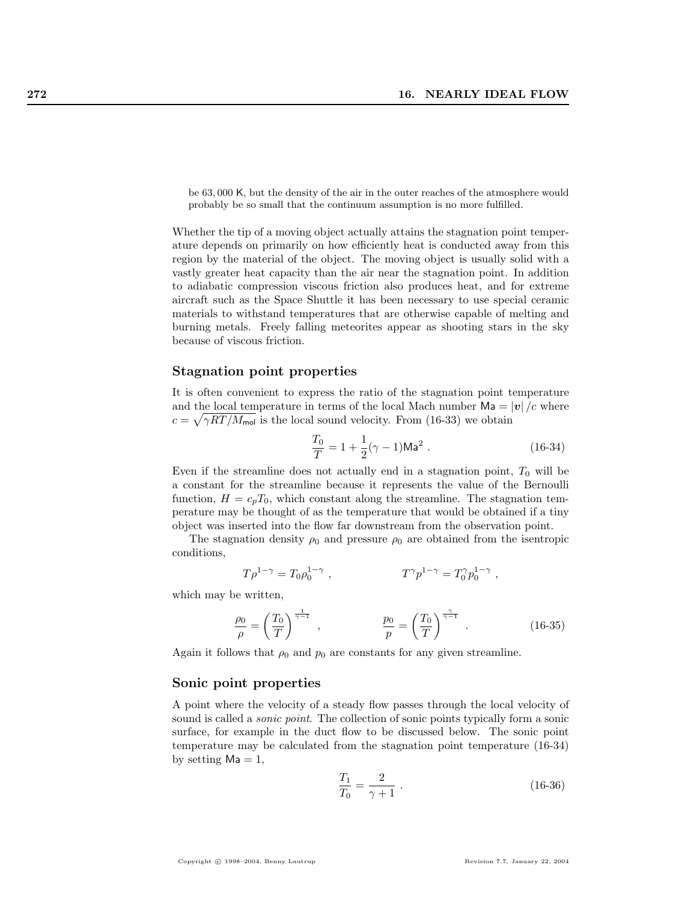be 63, 000 K, but the density of the air in the outer reaches of the atmosphere would probably be so small that the continuum assumption is no more fulfilled.

Whether the tip of a moving object actually attains the stagnation point temperature depends on primarily on how efficiently heat is conducted away from this region by the material of the object. The moving object is usually solid with a vastly greater heat capacity than the air near the stagnation point. In addition to adiabatic compression viscous friction also produces heat, and for extreme aircraft such as the Space Shuttle it has been necessary to use special ceramic materials to withstand temperatures that are otherwise capable of melting and burning metals. Freely falling meteorites appear as shooting stars in the sky because of viscous friction.

#### Stagnation point properties

It is often convenient to express the ratio of the stagnation point temperature and the local temperature in terms of the local Mach number  $\mathsf{Ma} = |\mathbf{v}|/c$  where  $c = \sqrt{\gamma RT/M_{\text{mol}}}$  is the local sound velocity. From (16-33) we obtain

$$
\frac{T_0}{T} = 1 + \frac{1}{2}(\gamma - 1)Ma^2.
$$
 (16-34)

Even if the streamline does not actually end in a stagnation point,  $T_0$  will be a constant for the streamline because it represents the value of the Bernoulli function,  $H = c_p T_0$ , which constant along the streamline. The stagnation temperature may be thought of as the temperature that would be obtained if a tiny object was inserted into the flow far downstream from the observation point.

The stagnation density  $\rho_0$  and pressure  $\rho_0$  are obtained from the isentropic conditions,

$$
T\rho^{1-\gamma}=T_0\rho_0^{1-\gamma}\ ,\qquad \qquad T^\gamma p^{1-\gamma}=T_0^\gamma p_0^{1-\gamma}\ ,
$$

which may be written,

$$
\frac{\rho_0}{\rho} = \left(\frac{T_0}{T}\right)^{\frac{1}{\gamma - 1}}, \qquad \frac{p_0}{p} = \left(\frac{T_0}{T}\right)^{\frac{\gamma}{\gamma - 1}}.
$$
 (16-35)

Again it follows that  $\rho_0$  and  $p_0$  are constants for any given streamline.

#### Sonic point properties

A point where the velocity of a steady flow passes through the local velocity of sound is called a *sonic point*. The collection of sonic points typically form a sonic surface, for example in the duct flow to be discussed below. The sonic point temperature may be calculated from the stagnation point temperature (16-34) by setting  $Ma = 1$ ,

$$
\frac{T_1}{T_0} = \frac{2}{\gamma + 1} \tag{16-36}
$$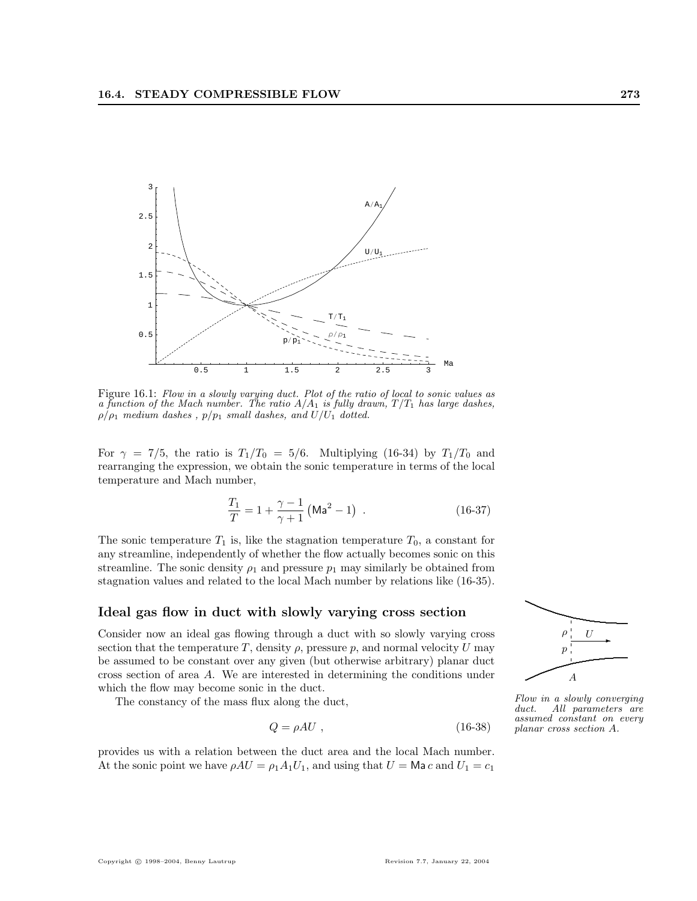

Figure 16.1: Flow in a slowly varying duct. Plot of the ratio of local to sonic values as a function of the Mach number. The ratio  $A/A_1$  is fully drawn,  $T/T_1$  has large dashes,  $\rho/\rho_1$  medium dashes,  $p/p_1$  small dashes, and  $U/U_1$  dotted.

For  $\gamma = 7/5$ , the ratio is  $T_1/T_0 = 5/6$ . Multiplying (16-34) by  $T_1/T_0$  and rearranging the expression, we obtain the sonic temperature in terms of the local temperature and Mach number,

$$
\frac{T_1}{T} = 1 + \frac{\gamma - 1}{\gamma + 1} \left( \text{Ma}^2 - 1 \right) \tag{16-37}
$$

The sonic temperature  $T_1$  is, like the stagnation temperature  $T_0$ , a constant for any streamline, independently of whether the flow actually becomes sonic on this streamline. The sonic density  $\rho_1$  and pressure  $p_1$  may similarly be obtained from stagnation values and related to the local Mach number by relations like (16-35).

#### Ideal gas flow in duct with slowly varying cross section

Consider now an ideal gas flowing through a duct with so slowly varying cross section that the temperature T, density  $\rho$ , pressure p, and normal velocity U may be assumed to be constant over any given (but otherwise arbitrary) planar duct cross section of area A. We are interested in determining the conditions under which the flow may become sonic in the duct.

The constancy of the mass flux along the duct,

$$
Q = \rho A U , \qquad (16-38)
$$

provides us with a relation between the duct area and the local Mach number. At the sonic point we have  $\rho A U = \rho_1 A_1 U_1$ , and using that  $U = \mathsf{Ma} c$  and  $U_1 = c_1$ 



Flow in a slowly converging duct. All parameters are assumed constant on every planar cross section A.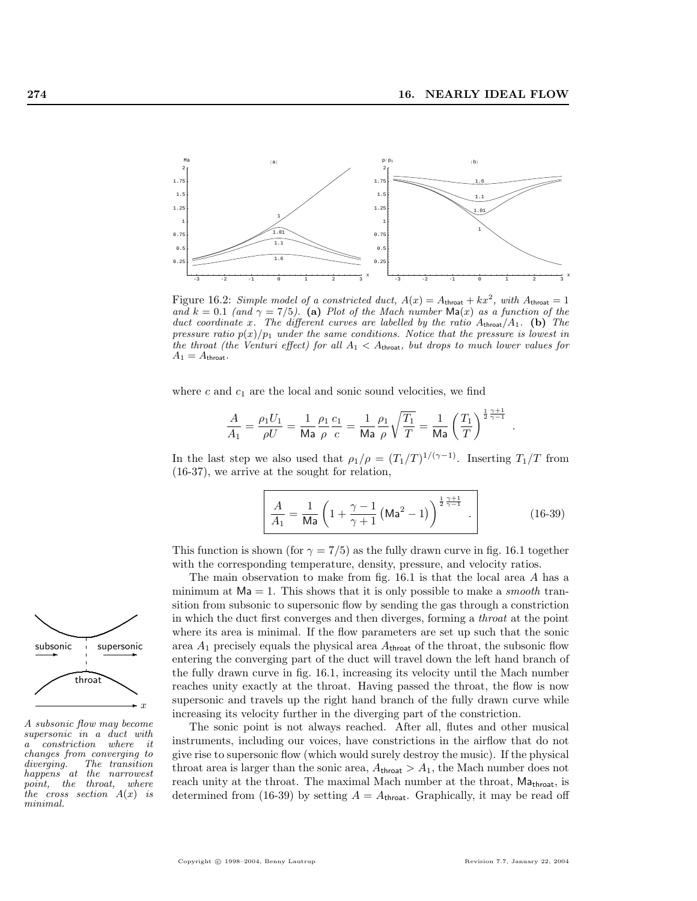

Figure 16.2: Simple model of a constricted duct,  $A(x) = A_{\text{throat}} + kx^2$ , with  $A_{\text{throat}} = 1$ and  $k = 0.1$  (and  $\gamma = 7/5$ ). (a) Plot of the Mach number  $\text{Ma}(x)$  as a function of the duct coordinate x. The different curves are labelled by the ratio  $A_{\text{throat}}/A_1$ . (b) The pressure ratio  $p(x)/p_1$  under the same conditions. Notice that the pressure is lowest in the throat (the Venturi effect) for all  $A_1 < A_{\text{throat}}$ , but drops to much lower values for  $A_1 = A_{\text{throat}}.$ 

where  $c$  and  $c_1$  are the local and sonic sound velocities, we find

$$
\frac{A}{A_1} = \frac{\rho_1 U_1}{\rho U} = \frac{1}{\text{Ma}} \frac{\rho_1}{\rho} \frac{c_1}{c} = \frac{1}{\text{Ma}} \frac{\rho_1}{\rho} \sqrt{\frac{T_1}{T}} = \frac{1}{\text{Ma}} \left(\frac{T_1}{T}\right)^{\frac{1}{2} \frac{\gamma + 1}{\gamma - 1}}
$$

In the last step we also used that  $\rho_1/\rho = (T_1/T)^{1/(\gamma-1)}$ . Inserting  $T_1/T$  from (16-37), we arrive at the sought for relation,

$$
\frac{A}{A_1} = \frac{1}{\text{Ma}} \left( 1 + \frac{\gamma - 1}{\gamma + 1} \left( \text{Ma}^2 - 1 \right) \right)^{\frac{1}{2} \frac{\gamma + 1}{\gamma - 1}} . \tag{16-39}
$$

This function is shown (for  $\gamma = 7/5$ ) as the fully drawn curve in fig. 16.1 together with the corresponding temperature, density, pressure, and velocity ratios.

The main observation to make from fig. 16.1 is that the local area A has a minimum at  $Ma = 1$ . This shows that it is only possible to make a *smooth* transition from subsonic to supersonic flow by sending the gas through a constriction in which the duct first converges and then diverges, forming a throat at the point where its area is minimal. If the flow parameters are set up such that the sonic area  $A_1$  precisely equals the physical area  $A_{\text{throat}}$  of the throat, the subsonic flow entering the converging part of the duct will travel down the left hand branch of the fully drawn curve in fig. 16.1, increasing its velocity until the Mach number reaches unity exactly at the throat. Having passed the throat, the flow is now supersonic and travels up the right hand branch of the fully drawn curve while increasing its velocity further in the diverging part of the constriction.

The sonic point is not always reached. After all, flutes and other musical instruments, including our voices, have constrictions in the airflow that do not give rise to supersonic flow (which would surely destroy the music). If the physical throat area is larger than the sonic area,  $A_{\text{throat}} > A_1$ , the Mach number does not reach unity at the throat. The maximal Mach number at the throat,  $Ma<sub>throat</sub>$ , is determined from (16-39) by setting  $A = A_{throat}$ . Graphically, it may be read off



A subsonic flow may become supersonic in a duct with a constriction where it changes from converging to diverging. The transition happens at the narrowest point, the throat, where the cross section  $A(x)$  is minimal.

.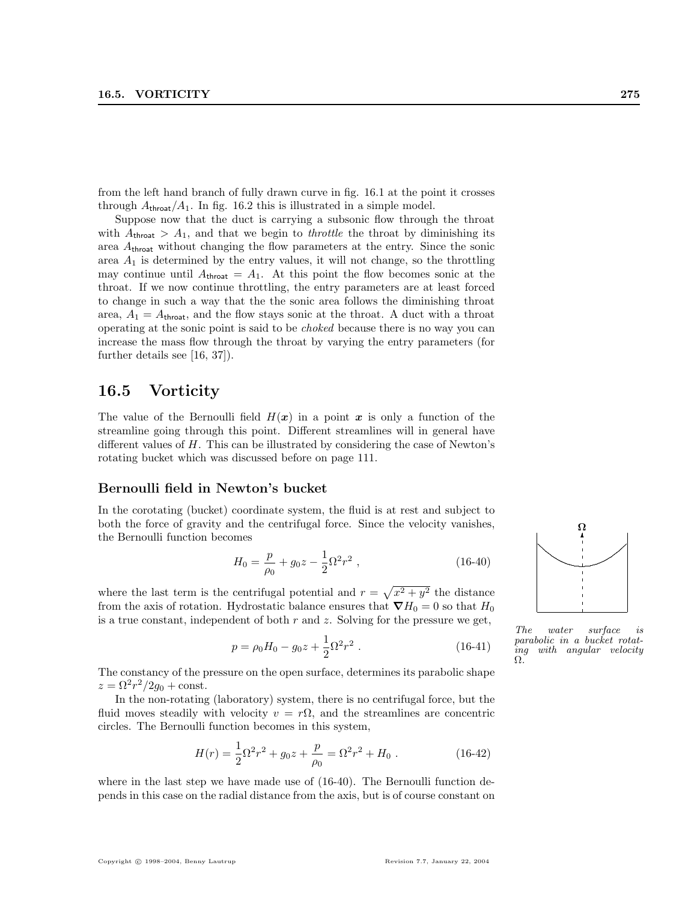from the left hand branch of fully drawn curve in fig. 16.1 at the point it crosses through  $A_{\text{throat}}/A_1$ . In fig. 16.2 this is illustrated in a simple model.

Suppose now that the duct is carrying a subsonic flow through the throat with  $A_{\text{thread}} > A_1$ , and that we begin to *throttle* the throat by diminishing its area  $A_{\text{throat}}$  without changing the flow parameters at the entry. Since the sonic area  $A_1$  is determined by the entry values, it will not change, so the throttling may continue until  $A_{\text{throat}} = A_1$ . At this point the flow becomes sonic at the throat. If we now continue throttling, the entry parameters are at least forced to change in such a way that the the sonic area follows the diminishing throat area,  $A_1 = A_{\text{throat}}$ , and the flow stays sonic at the throat. A duct with a throat operating at the sonic point is said to be choked because there is no way you can increase the mass flow through the throat by varying the entry parameters (for further details see [16, 37]).

### 16.5 Vorticity

The value of the Bernoulli field  $H(x)$  in a point x is only a function of the streamline going through this point. Different streamlines will in general have different values of  $H$ . This can be illustrated by considering the case of Newton's rotating bucket which was discussed before on page 111.

#### Bernoulli field in Newton's bucket

In the corotating (bucket) coordinate system, the fluid is at rest and subject to both the force of gravity and the centrifugal force. Since the velocity vanishes, the Bernoulli function becomes

$$
H_0 = \frac{p}{\rho_0} + g_0 z - \frac{1}{2} \Omega^2 r^2 \,, \tag{16-40}
$$

where the last term is the centrifugal potential and  $r =$ p  $x^2 + y^2$  the distance from the axis of rotation. Hydrostatic balance ensures that  $\nabla H_0 = 0$  so that  $H_0$ is a true constant, independent of both  $r$  and  $z$ . Solving for the pressure we get,

$$
p = \rho_0 H_0 - g_0 z + \frac{1}{2} \Omega^2 r^2 \,. \tag{16-41}
$$

The constancy of the pressure on the open surface, determines its parabolic shape  $z = \Omega^2 r^2 / 2g_0 + \text{const.}$ 

In the non-rotating (laboratory) system, there is no centrifugal force, but the fluid moves steadily with velocity  $v = r\Omega$ , and the streamlines are concentric circles. The Bernoulli function becomes in this system,

$$
H(r) = \frac{1}{2}\Omega^2 r^2 + g_0 z + \frac{p}{\rho_0} = \Omega^2 r^2 + H_0 . \qquad (16-42)
$$

where in the last step we have made use of  $(16-40)$ . The Bernoulli function depends in this case on the radial distance from the axis, but is of course constant on



The water surface is parabolic in a bucket rotating with angular velocity Ω.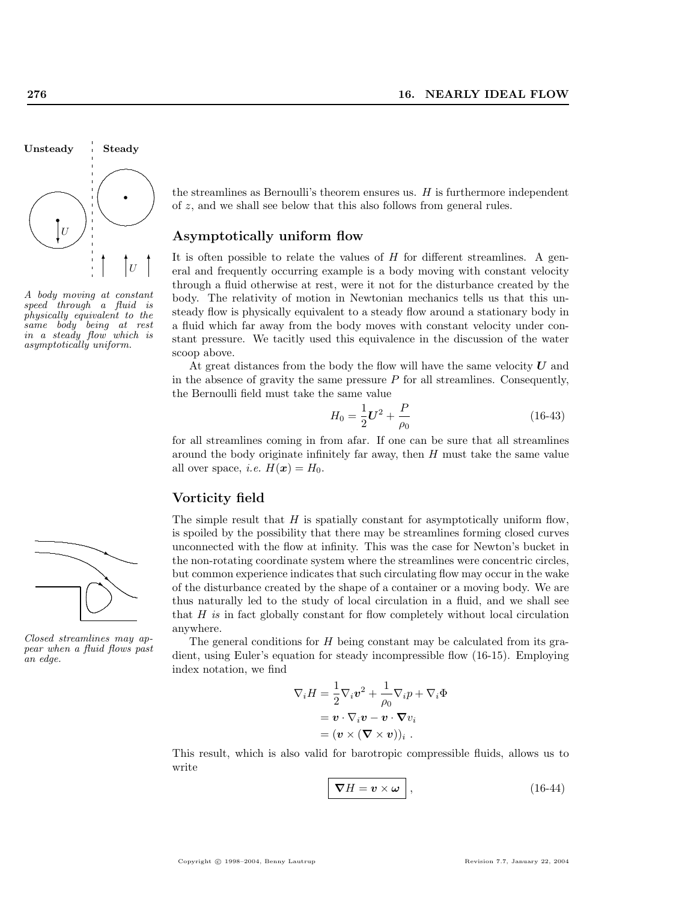

A body moving at constant speed through a fluid is physically equivalent to the same body being at rest in a steady flow which is asymptotically uniform.



Closed streamlines may appear when a fluid flows past an edge.

the streamlines as Bernoulli's theorem ensures us.  $H$  is furthermore independent of z, and we shall see below that this also follows from general rules.

#### Asymptotically uniform flow

It is often possible to relate the values of  $H$  for different streamlines. A general and frequently occurring example is a body moving with constant velocity through a fluid otherwise at rest, were it not for the disturbance created by the body. The relativity of motion in Newtonian mechanics tells us that this unsteady flow is physically equivalent to a steady flow around a stationary body in a fluid which far away from the body moves with constant velocity under constant pressure. We tacitly used this equivalence in the discussion of the water scoop above.

At great distances from the body the flow will have the same velocity  $U$  and in the absence of gravity the same pressure  $P$  for all streamlines. Consequently, the Bernoulli field must take the same value

$$
H_0 = \frac{1}{2}\mathbf{U}^2 + \frac{P}{\rho_0} \tag{16-43}
$$

for all streamlines coming in from afar. If one can be sure that all streamlines around the body originate infinitely far away, then  $H$  must take the same value all over space, *i.e.*  $H(\mathbf{x}) = H_0$ .

#### Vorticity field

The simple result that  $H$  is spatially constant for asymptotically uniform flow, is spoiled by the possibility that there may be streamlines forming closed curves unconnected with the flow at infinity. This was the case for Newton's bucket in the non-rotating coordinate system where the streamlines were concentric circles, but common experience indicates that such circulating flow may occur in the wake of the disturbance created by the shape of a container or a moving body. We are thus naturally led to the study of local circulation in a fluid, and we shall see that H is in fact globally constant for flow completely without local circulation anywhere.

The general conditions for H being constant may be calculated from its gradient, using Euler's equation for steady incompressible flow (16-15). Employing index notation, we find

$$
\nabla_i H = \frac{1}{2} \nabla_i v^2 + \frac{1}{\rho_0} \nabla_i p + \nabla_i \Phi
$$

$$
= \mathbf{v} \cdot \nabla_i \mathbf{v} - \mathbf{v} \cdot \nabla v_i
$$

$$
= (\mathbf{v} \times (\nabla \times \mathbf{v}))_i .
$$

This result, which is also valid for barotropic compressible fluids, allows us to write

$$
\boxed{\nabla H = \mathbf{v} \times \boldsymbol{\omega}},\tag{16-44}
$$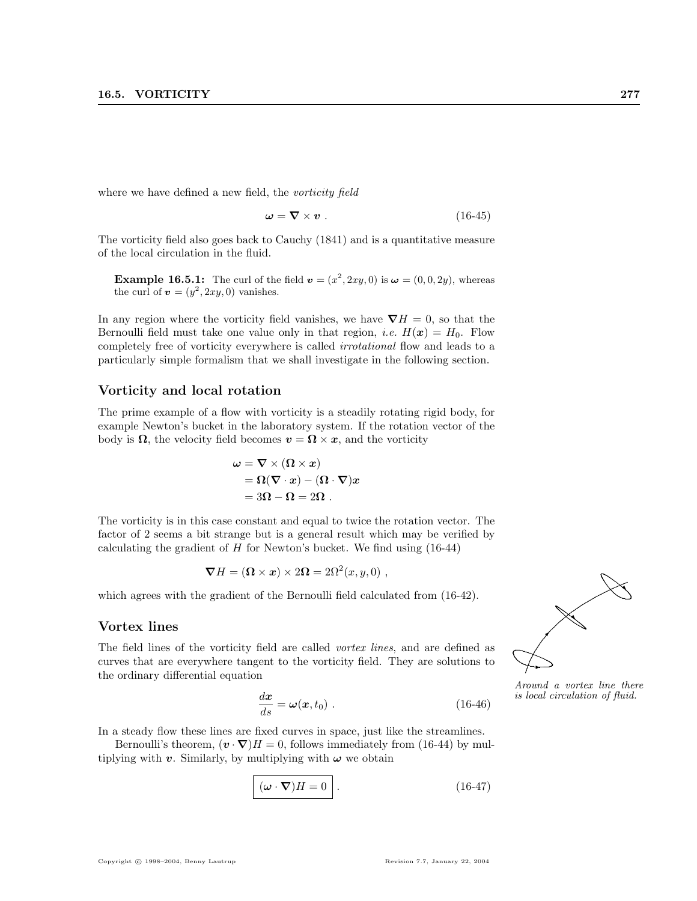where we have defined a new field, the *vorticity field* 

$$
\omega = \nabla \times v \tag{16-45}
$$

The vorticity field also goes back to Cauchy (1841) and is a quantitative measure of the local circulation in the fluid.

**Example 16.5.1:** The curl of the field  $\mathbf{v} = (x^2, 2xy, 0)$  is  $\boldsymbol{\omega} = (0, 0, 2y)$ , whereas the curl of  $\mathbf{v} = (y^2, 2xy, 0)$  vanishes.

In any region where the vorticity field vanishes, we have  $\nabla H = 0$ , so that the Bernoulli field must take one value only in that region, *i.e.*  $H(x) = H_0$ . Flow completely free of vorticity everywhere is called irrotational flow and leads to a particularly simple formalism that we shall investigate in the following section.

#### Vorticity and local rotation

The prime example of a flow with vorticity is a steadily rotating rigid body, for example Newton's bucket in the laboratory system. If the rotation vector of the body is  $\Omega$ , the velocity field becomes  $v = \Omega \times x$ , and the vorticity

$$
\omega = \nabla \times (\Omega \times x)
$$
  
= \Omega(\nabla \cdot x) - (\Omega \cdot \nabla)x  
= 3\Omega - \Omega = 2\Omega.

The vorticity is in this case constant and equal to twice the rotation vector. The factor of 2 seems a bit strange but is a general result which may be verified by calculating the gradient of  $H$  for Newton's bucket. We find using  $(16-44)$ 

$$
\nabla H = (\mathbf{\Omega} \times \mathbf{x}) \times 2\mathbf{\Omega} = 2\Omega^2(x, y, 0) ,
$$

which agrees with the gradient of the Bernoulli field calculated from (16-42).

#### Vortex lines

The field lines of the vorticity field are called *vortex lines*, and are defined as curves that are everywhere tangent to the vorticity field. They are solutions to the ordinary differential equation .

$$
\frac{d\boldsymbol{x}}{ds} = \boldsymbol{\omega}(\boldsymbol{x}, t_0) \ . \tag{16-46}
$$

In a steady flow these lines are fixed curves in space, just like the streamlines.

Bernoulli's theorem,  $(\mathbf{v} \cdot \nabla)H = 0$ , follows immediately from (16-44) by multiplying with v. Similarly, by multiplying with  $\omega$  we obtain

$$
\boxed{(\boldsymbol{\omega} \cdot \boldsymbol{\nabla})H = 0}.
$$
 (16-47)

Copyright © 1998–2004, Benny Lautrup Revision 7.7, January 22, 2004



Around a vortex line there is local circulation of fluid.<br> $\delta)$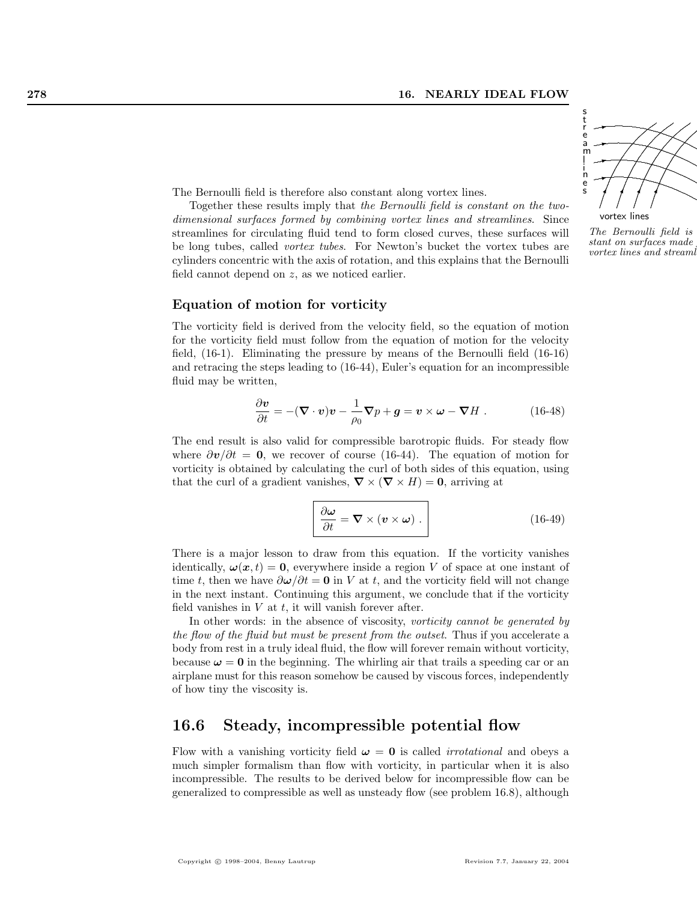

vortex lines

l i

The Bernoulli field is stant on surfaces made  $vortex$  lines and streaml

The Bernoulli field is therefore also constant along vortex lines.

Together these results imply that the Bernoulli field is constant on the twodimensional surfaces formed by combining vortex lines and streamlines. Since streamlines for circulating fluid tend to form closed curves, these surfaces will be long tubes, called vortex tubes. For Newton's bucket the vortex tubes are cylinders concentric with the axis of rotation, and this explains that the Bernoulli field cannot depend on z, as we noticed earlier.

#### Equation of motion for vorticity

The vorticity field is derived from the velocity field, so the equation of motion for the vorticity field must follow from the equation of motion for the velocity field, (16-1). Eliminating the pressure by means of the Bernoulli field (16-16) and retracing the steps leading to (16-44), Euler's equation for an incompressible fluid may be written,

$$
\frac{\partial \boldsymbol{v}}{\partial t} = -(\boldsymbol{\nabla} \cdot \boldsymbol{v})\boldsymbol{v} - \frac{1}{\rho_0} \boldsymbol{\nabla} p + \boldsymbol{g} = \boldsymbol{v} \times \boldsymbol{\omega} - \boldsymbol{\nabla} H. \qquad (16-48)
$$

The end result is also valid for compressible barotropic fluids. For steady flow where  $\partial v/\partial t = 0$ , we recover of course (16-44). The equation of motion for vorticity is obtained by calculating the curl of both sides of this equation, using that the curl of a gradient vanishes,  $\nabla \times (\nabla \times H) = 0$ , arriving at

$$
\frac{\partial \omega}{\partial t} = \nabla \times (\mathbf{v} \times \omega) .
$$
 (16-49)

There is a major lesson to draw from this equation. If the vorticity vanishes identically,  $\omega(x, t) = 0$ , everywhere inside a region V of space at one instant of time t, then we have  $\partial \omega / \partial t = 0$  in V at t, and the vorticity field will not change in the next instant. Continuing this argument, we conclude that if the vorticity field vanishes in  $V$  at  $t$ , it will vanish forever after.

In other words: in the absence of viscosity, *vorticity cannot be generated by* the flow of the fluid but must be present from the outset. Thus if you accelerate a body from rest in a truly ideal fluid, the flow will forever remain without vorticity, because  $\omega = 0$  in the beginning. The whirling air that trails a speeding car or an airplane must for this reason somehow be caused by viscous forces, independently of how tiny the viscosity is.

#### 16.6 Steady, incompressible potential flow

Flow with a vanishing vorticity field  $\omega = 0$  is called *irrotational* and obeys a much simpler formalism than flow with vorticity, in particular when it is also incompressible. The results to be derived below for incompressible flow can be generalized to compressible as well as unsteady flow (see problem 16.8), although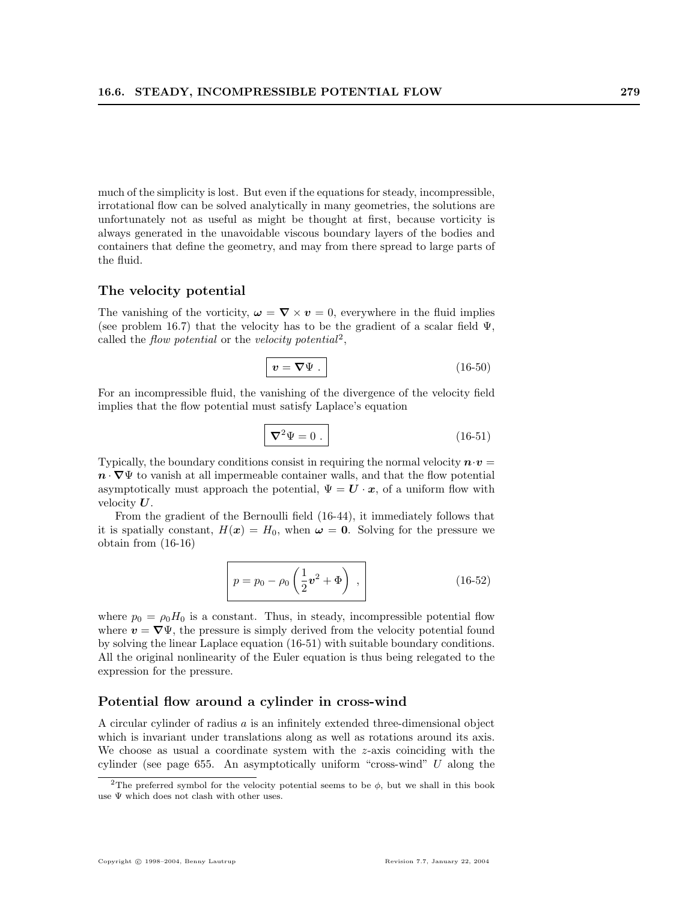much of the simplicity is lost. But even if the equations for steady, incompressible, irrotational flow can be solved analytically in many geometries, the solutions are unfortunately not as useful as might be thought at first, because vorticity is always generated in the unavoidable viscous boundary layers of the bodies and containers that define the geometry, and may from there spread to large parts of the fluid.

#### The velocity potential

The vanishing of the vorticity,  $\boldsymbol{\omega} = \nabla \times \boldsymbol{v} = 0$ , everywhere in the fluid implies (see problem 16.7) that the velocity has to be the gradient of a scalar field  $\Psi$ , called the flow potential or the velocity potential<sup>2</sup>,

$$
v = \nabla \Psi . \tag{16-50}
$$

For an incompressible fluid, the vanishing of the divergence of the velocity field implies that the flow potential must satisfy Laplace's equation

$$
\nabla^2 \Psi = 0 \tag{16-51}
$$

Typically, the boundary conditions consist in requiring the normal velocity  $\mathbf{n} \cdot \mathbf{v} =$  $\mathbf{n} \cdot \nabla \Psi$  to vanish at all impermeable container walls, and that the flow potential asymptotically must approach the potential,  $\Psi = \mathbf{U} \cdot \mathbf{x}$ , of a uniform flow with velocity U.

From the gradient of the Bernoulli field (16-44), it immediately follows that it is spatially constant,  $H(x) = H_0$ , when  $\omega = 0$ . Solving for the pressure we obtain from (16-16)

$$
p = p_0 - \rho_0 \left(\frac{1}{2} \mathbf{v}^2 + \Phi\right) , \qquad (16-52)
$$

where  $p_0 = \rho_0 H_0$  is a constant. Thus, in steady, incompressible potential flow where  $v = \nabla \Psi$ , the pressure is simply derived from the velocity potential found by solving the linear Laplace equation (16-51) with suitable boundary conditions. All the original nonlinearity of the Euler equation is thus being relegated to the expression for the pressure.

#### Potential flow around a cylinder in cross-wind

A circular cylinder of radius a is an infinitely extended three-dimensional object which is invariant under translations along as well as rotations around its axis. We choose as usual a coordinate system with the  $z$ -axis coinciding with the cylinder (see page 655. An asymptotically uniform "cross-wind" U along the

<sup>&</sup>lt;sup>2</sup>The preferred symbol for the velocity potential seems to be  $\phi$ , but we shall in this book use  $\Psi$  which does not clash with other uses.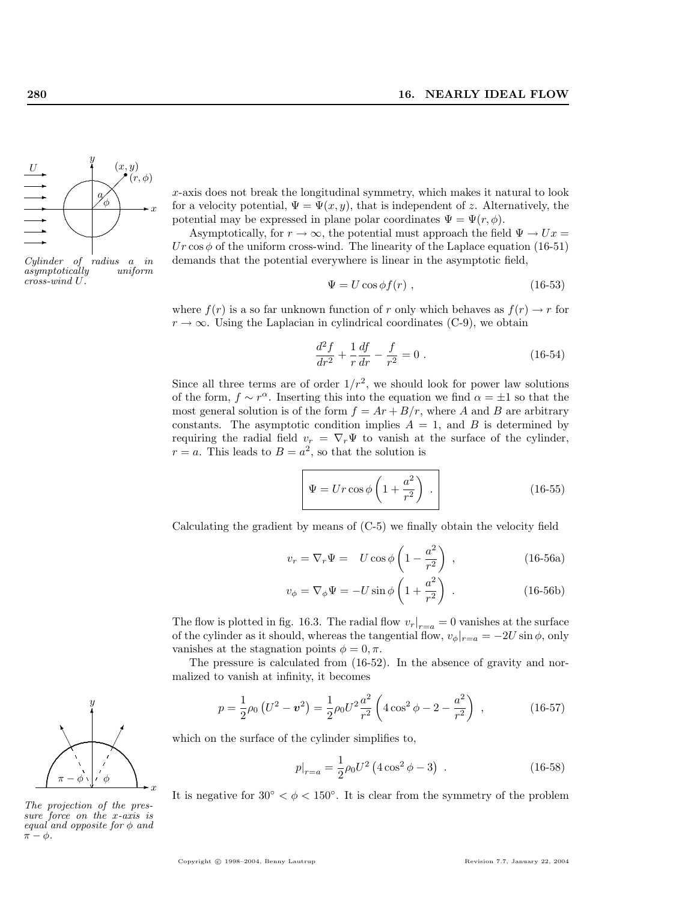

Cylinder of radius a in  $asymptotically$ cross-wind U.

x-axis does not break the longitudinal symmetry, which makes it natural to look for a velocity potential,  $\Psi = \Psi(x, y)$ , that is independent of z. Alternatively, the potential may be expressed in plane polar coordinates  $\Psi = \Psi(r, \phi)$ .

Asymptotically, for  $r \to \infty$ , the potential must approach the field  $\Psi \to Ux$ Ur cos  $\phi$  of the uniform cross-wind. The linearity of the Laplace equation (16-51) demands that the potential everywhere is linear in the asymptotic field,

$$
\Psi = U \cos \phi f(r) \tag{16-53}
$$

where  $f(r)$  is a so far unknown function of r only which behaves as  $f(r) \rightarrow r$  for  $r \to \infty$ . Using the Laplacian in cylindrical coordinates (C-9), we obtain

$$
\frac{d^2f}{dr^2} + \frac{1}{r}\frac{df}{dr} - \frac{f}{r^2} = 0.
$$
 (16-54)

Since all three terms are of order  $1/r^2$ , we should look for power law solutions of the form,  $f \sim r^{\alpha}$ . Inserting this into the equation we find  $\alpha = \pm 1$  so that the most general solution is of the form  $f = Ar + B/r$ , where A and B are arbitrary constants. The asymptotic condition implies  $A = 1$ , and B is determined by requiring the radial field  $v_r = \nabla_r \Psi$  to vanish at the surface of the cylinder,  $r = a$ . This leads to  $B = a^2$ , so that the solution is

$$
\Psi = Ur \cos \phi \left( 1 + \frac{a^2}{r^2} \right) . \tag{16-55}
$$

Calculating the gradient by means of (C-5) we finally obtain the velocity field

$$
v_r = \nabla_r \Psi = U \cos \phi \left( 1 - \frac{a^2}{r^2} \right) , \qquad (16-56a)
$$

$$
v_{\phi} = \nabla_{\phi} \Psi = -U \sin \phi \left( 1 + \frac{a^2}{r^2} \right) . \tag{16-56b}
$$

The flow is plotted in fig. 16.3. The radial flow  $v_r|_{r=a} = 0$  vanishes at the surface of the cylinder as it should, whereas the tangential flow,  $v_{\phi}|_{r=a} = -2U \sin \phi$ , only vanishes at the stagnation points  $\phi = 0, \pi$ .

The pressure is calculated from (16-52). In the absence of gravity and normalized to vanish at infinity, it becomes

$$
p = \frac{1}{2}\rho_0 \left( U^2 - \mathbf{v}^2 \right) = \frac{1}{2}\rho_0 U^2 \frac{a^2}{r^2} \left( 4\cos^2\phi - 2 - \frac{a^2}{r^2} \right) ,\qquad (16-57)
$$

which on the surface of the cylinder simplifies to,

$$
p|_{r=a} = \frac{1}{2}\rho_0 U^2 \left(4\cos^2\phi - 3\right) \ . \tag{16-58}
$$

It is negative for  $30° < \phi < 150°$ . It is clear from the symmetry of the problem



The projection of the pressure force on the x-axis is equal and opposite for  $\phi$  and  $\pi - \phi$ .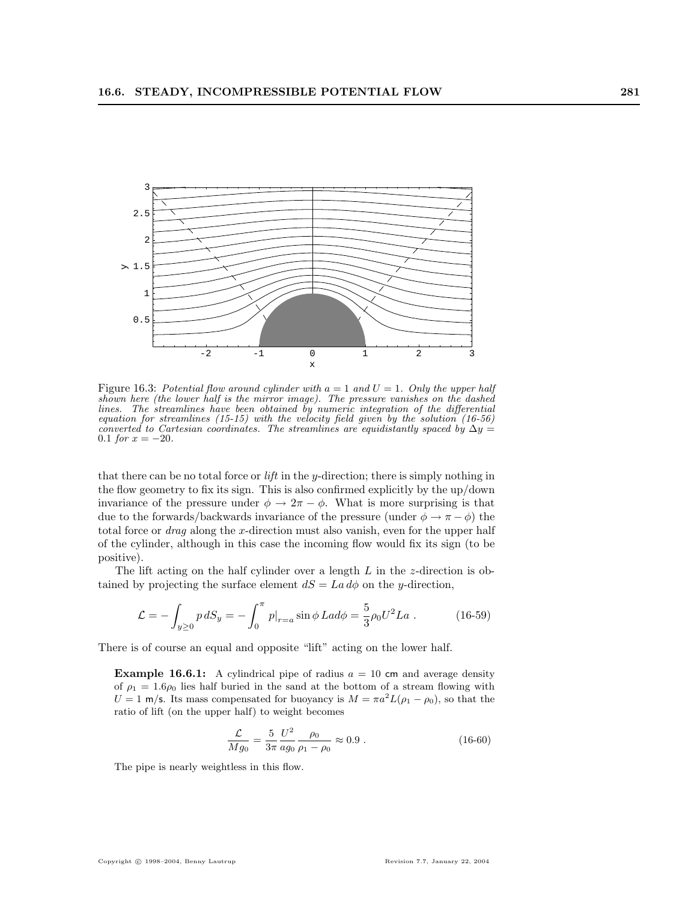

Figure 16.3: Potential flow around cylinder with  $a = 1$  and  $U = 1$ . Only the upper half shown here (the lower half is the mirror image). The pressure vanishes on the dashed lines. The streamlines have been obtained by numeric integration of the differential equation for streamlines (15-15) with the velocity field given by the solution (16-56) converted to Cartesian coordinates. The streamlines are equidistantly spaced by  $\Delta y =$ 0.1 for  $x = -20$ .

that there can be no total force or  $\mathit{lift}$  in the y-direction; there is simply nothing in the flow geometry to fix its sign. This is also confirmed explicitly by the up/down invariance of the pressure under  $\phi \to 2\pi - \phi$ . What is more surprising is that due to the forwards/backwards invariance of the pressure (under  $\phi \to \pi - \phi$ ) the total force or *drag* along the x-direction must also vanish, even for the upper half of the cylinder, although in this case the incoming flow would fix its sign (to be positive).

The lift acting on the half cylinder over a length  $L$  in the *z*-direction is obtained by projecting the surface element  $dS = La d\phi$  on the y-direction,

$$
\mathcal{L} = -\int_{y\geq 0} p \, dS_y = -\int_0^\pi p|_{r=a} \sin\phi \, L a d\phi = \frac{5}{3} \rho_0 U^2 L a \; . \tag{16-59}
$$

There is of course an equal and opposite "lift" acting on the lower half.

**Example 16.6.1:** A cylindrical pipe of radius  $a = 10$  cm and average density of  $\rho_1 = 1.6\rho_0$  lies half buried in the sand at the bottom of a stream flowing with  $U = 1$  m/s. Its mass compensated for buoyancy is  $M = \pi a^2 L(\rho_1 - \rho_0)$ , so that the ratio of lift (on the upper half) to weight becomes

$$
\frac{\mathcal{L}}{Mg_0} = \frac{5}{3\pi} \frac{U^2}{ag_0} \frac{\rho_0}{\rho_1 - \rho_0} \approx 0.9 \ . \tag{16-60}
$$

The pipe is nearly weightless in this flow.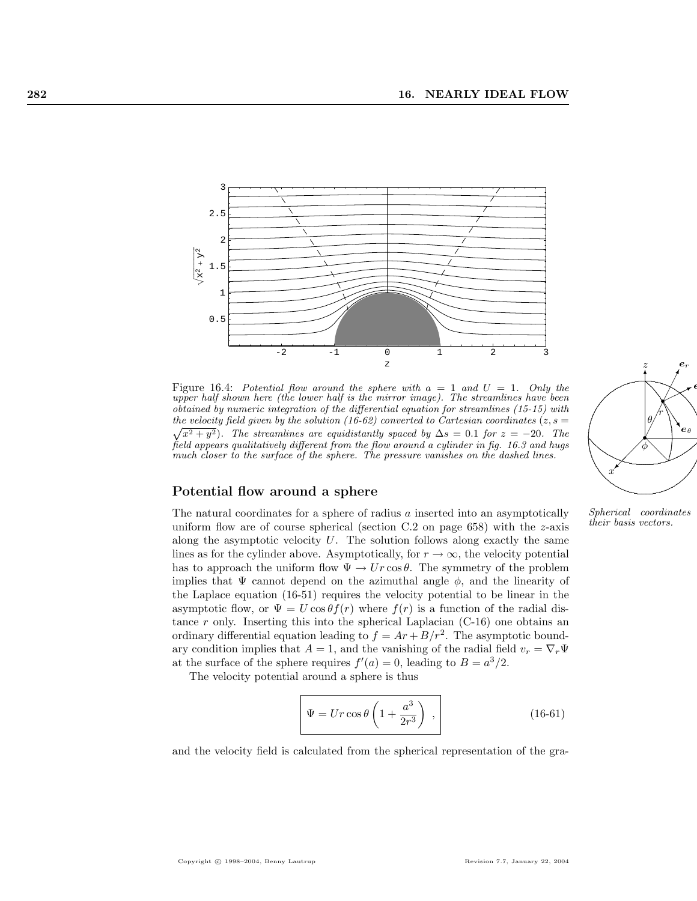

Figure 16.4: Potential flow around the sphere with  $a = 1$  and  $U = 1$ . Only the upper half shown here (the lower half is the mirror image). The streamlines have been obtained by numeric integration of the differential equation for streamlines (15-15) with the velocity field given by the solution (16-62) converted to Cartesian coordinates ( $z, s =$  $\sqrt{x^2 + y^2}$ ). The streamlines are equidistantly spaced by  $\Delta s = 0.1$  for  $z = -20$ . The field appears qualitatively different from the flow around a cylinder in fig. 16.3 and hugs much closer to the surface of the sphere. The pressure vanishes on the dashed lines.



their basis vectors.

# Potential flow around a sphere

The natural coordinates for a sphere of radius  $a$  inserted into an asymptotically uniform flow are of course spherical (section  $C.2$  on page 658) with the z-axis along the asymptotic velocity  $U$ . The solution follows along exactly the same lines as for the cylinder above. Asymptotically, for  $r \to \infty$ , the velocity potential has to approach the uniform flow  $\Psi \to Ur \cos \theta$ . The symmetry of the problem implies that  $\Psi$  cannot depend on the azimuthal angle  $\phi$ , and the linearity of the Laplace equation (16-51) requires the velocity potential to be linear in the asymptotic flow, or  $\Psi = U \cos \theta f(r)$  where  $f(r)$  is a function of the radial distance r only. Inserting this into the spherical Laplacian  $(C-16)$  one obtains an ordinary differential equation leading to  $f = Ar + B/r^2$ . The asymptotic boundary condition implies that  $A = 1$ , and the vanishing of the radial field  $v_r = \nabla_r \Psi$ at the surface of the sphere requires  $f'(a) = 0$ , leading to  $B = a^3/2$ .

The velocity potential around a sphere is thus

$$
\Psi = Ur \cos \theta \left( 1 + \frac{a^3}{2r^3} \right) , \qquad (16-61)
$$

and the velocity field is calculated from the spherical representation of the gra-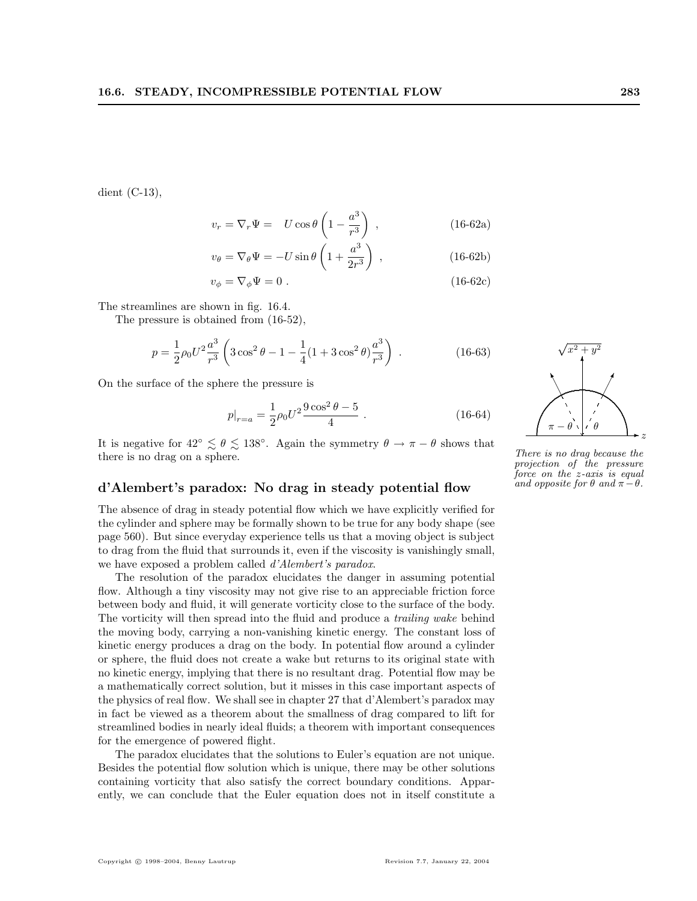dient (C-13),

$$
v_r = \nabla_r \Psi = U \cos \theta \left( 1 - \frac{a^3}{r^3} \right) , \qquad (16-62a)
$$

$$
v_{\theta} = \nabla_{\theta} \Psi = -U \sin \theta \left( 1 + \frac{a^3}{2r^3} \right) , \qquad (16-62b)
$$

$$
v_{\phi} = \nabla_{\phi} \Psi = 0. \tag{16-62c}
$$

The streamlines are shown in fig. 16.4.

The pressure is obtained from (16-52),

$$
p = \frac{1}{2}\rho_0 U^2 \frac{a^3}{r^3} \left( 3\cos^2\theta - 1 - \frac{1}{4}(1 + 3\cos^2\theta) \frac{a^3}{r^3} \right) .
$$
 (16-63)

On the surface of the sphere the pressure is

$$
p|_{r=a} = \frac{1}{2}\rho_0 U^2 \frac{9\cos^2\theta - 5}{4} \tag{16-64}
$$

It is negative for  $42° \le \theta \le 138°$ . Again the symmetry  $\theta \to \pi - \theta$  shows that there is no drag on a sphere.

#### d'Alembert's paradox: No drag in steady potential flow

The absence of drag in steady potential flow which we have explicitly verified for the cylinder and sphere may be formally shown to be true for any body shape (see page 560). But since everyday experience tells us that a moving object is subject to drag from the fluid that surrounds it, even if the viscosity is vanishingly small, we have exposed a problem called d'Alembert's paradox.

The resolution of the paradox elucidates the danger in assuming potential flow. Although a tiny viscosity may not give rise to an appreciable friction force between body and fluid, it will generate vorticity close to the surface of the body. The vorticity will then spread into the fluid and produce a trailing wake behind the moving body, carrying a non-vanishing kinetic energy. The constant loss of kinetic energy produces a drag on the body. In potential flow around a cylinder or sphere, the fluid does not create a wake but returns to its original state with no kinetic energy, implying that there is no resultant drag. Potential flow may be a mathematically correct solution, but it misses in this case important aspects of the physics of real flow. We shall see in chapter 27 that d'Alembert's paradox may in fact be viewed as a theorem about the smallness of drag compared to lift for streamlined bodies in nearly ideal fluids; a theorem with important consequences for the emergence of powered flight.

The paradox elucidates that the solutions to Euler's equation are not unique. Besides the potential flow solution which is unique, there may be other solutions containing vorticity that also satisfy the correct boundary conditions. Apparently, we can conclude that the Euler equation does not in itself constitute a



There is no drag because the projection of the pressure force on the z-axis is equal and opposite for  $\theta$  and  $\pi - \theta$ .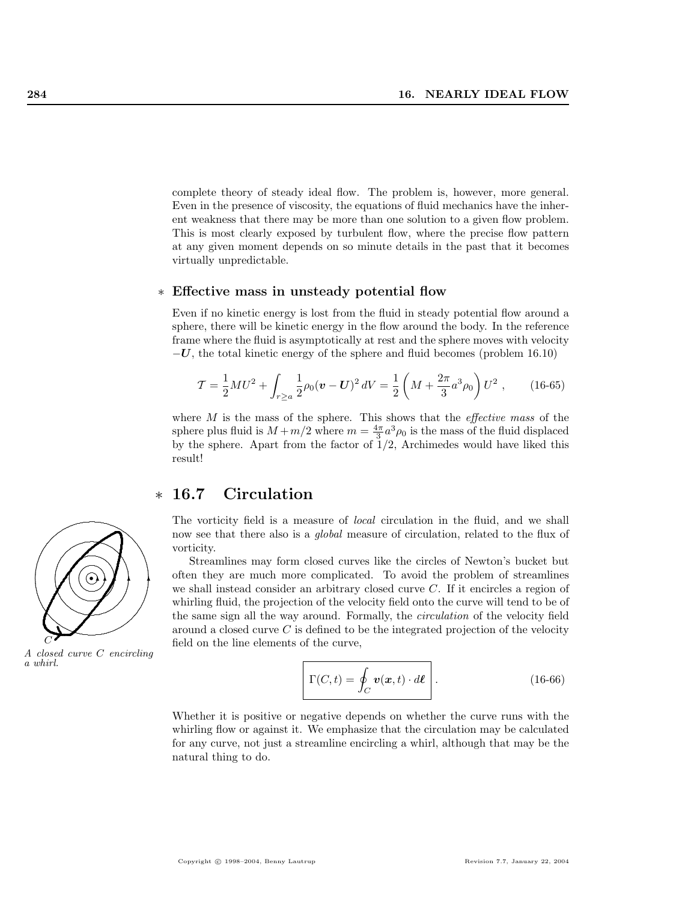complete theory of steady ideal flow. The problem is, however, more general. Even in the presence of viscosity, the equations of fluid mechanics have the inherent weakness that there may be more than one solution to a given flow problem. This is most clearly exposed by turbulent flow, where the precise flow pattern at any given moment depends on so minute details in the past that it becomes virtually unpredictable.

#### ∗ Effective mass in unsteady potential flow

Even if no kinetic energy is lost from the fluid in steady potential flow around a sphere, there will be kinetic energy in the flow around the body. In the reference frame where the fluid is asymptotically at rest and the sphere moves with velocity  $-U$ , the total kinetic energy of the sphere and fluid becomes (problem 16.10)

$$
\mathcal{T} = \frac{1}{2} M U^2 + \int_{r \ge a} \frac{1}{2} \rho_0 (\mathbf{v} - \mathbf{U})^2 dV = \frac{1}{2} \left( M + \frac{2\pi}{3} a^3 \rho_0 \right) U^2 , \qquad (16-65)
$$

where  $M$  is the mass of the sphere. This shows that the *effective mass* of the sphere plus fluid is  $M + m/2$  where  $m = \frac{4\pi}{3}a^3\rho_0$  is the mass of the fluid displaced by the sphere. Apart from the factor of  $1/2$ , Archimedes would have liked this result!

## ∗ 16.7 Circulation

The vorticity field is a measure of local circulation in the fluid, and we shall now see that there also is a *global* measure of circulation, related to the flux of vorticity.

Streamlines may form closed curves like the circles of Newton's bucket but often they are much more complicated. To avoid the problem of streamlines we shall instead consider an arbitrary closed curve C. If it encircles a region of whirling fluid, the projection of the velocity field onto the curve will tend to be of the same sign all the way around. Formally, the circulation of the velocity field around a closed curve  $C$  is defined to be the integrated projection of the velocity field on the line elements of the curve,

$$
\Gamma(C, t) = \oint_C \boldsymbol{v}(\boldsymbol{x}, t) \cdot d\boldsymbol{\ell} \quad .
$$
 (16-66)

Whether it is positive or negative depends on whether the curve runs with the whirling flow or against it. We emphasize that the circulation may be calculated for any curve, not just a streamline encircling a whirl, although that may be the natural thing to do.



A closed curve C encircling a whirl.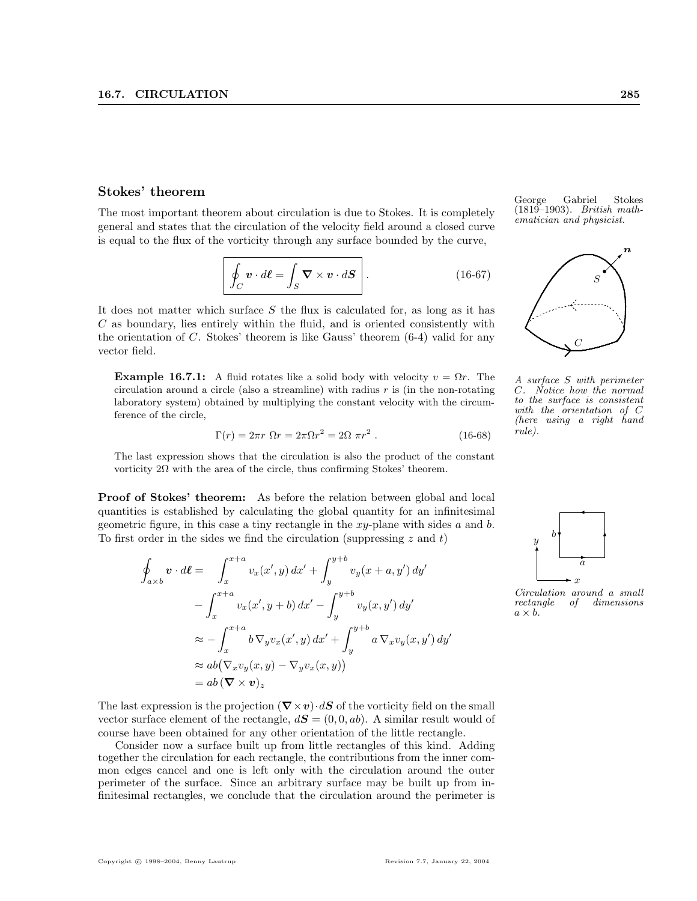The most important theorem about circulation is due to Stokes. It is completely general and states that the circulation of the velocity field around a closed curve is equal to the flux of the vorticity through any surface bounded by the curve,

$$
\left[ \oint_C \mathbf{v} \cdot d\boldsymbol{\ell} = \int_S \boldsymbol{\nabla} \times \mathbf{v} \cdot d\mathbf{S} \right].
$$
 (16-67)

It does not matter which surface  $S$  the flux is calculated for, as long as it has C as boundary, lies entirely within the fluid, and is oriented consistently with the orientation of  $C$ . Stokes' theorem is like Gauss' theorem  $(6-4)$  valid for any vector field.

**Example 16.7.1:** A fluid rotates like a solid body with velocity  $v = \Omega r$ . The circulation around a circle (also a streamline) with radius  $r$  is (in the non-rotating laboratory system) obtained by multiplying the constant velocity with the circumference of the circle,

$$
\Gamma(r) = 2\pi r \ \Omega r = 2\pi \Omega r^2 = 2\Omega \ \pi r^2 \ . \tag{16-68}
$$

The last expression shows that the circulation is also the product of the constant vorticity 2Ω with the area of the circle, thus confirming Stokes' theorem.

**Proof of Stokes' theorem:** As before the relation between global and local quantities is established by calculating the global quantity for an infinitesimal geometric figure, in this case a tiny rectangle in the  $xy$ -plane with sides a and b. To first order in the sides we find the circulation (suppressing  $z$  and  $t$ )

$$
\oint_{a \times b} \mathbf{v} \cdot d\boldsymbol{\ell} = \int_{x}^{x+a} v_x(x', y) dx' + \int_{y}^{y+b} v_y(x+a, y') dy'
$$
\n
$$
- \int_{x}^{x+a} v_x(x', y+b) dx' - \int_{y}^{y+b} v_y(x, y') dy'
$$
\n
$$
\approx - \int_{x}^{x+a} b \nabla_y v_x(x', y) dx' + \int_{y}^{y+b} a \nabla_x v_y(x, y') dy'
$$
\n
$$
\approx ab (\nabla_x v_y(x, y) - \nabla_y v_x(x, y))
$$
\n
$$
= ab (\nabla \times \mathbf{v})_z
$$

Stokes' theorem George Gabriel Stokes  $(1819-1903)$ . British math-ematician and physicist.



A surface S with perimeter Notice how the normal to the surface is consistent with the orientation of C (here using a right hand rule).



Circulation around a small rectangle of dimensions  $a \times b$ .

The last expression is the projection  $(\nabla \times v) \cdot dS$  of the vorticity field on the small vector surface element of the rectangle,  $d\mathbf{S} = (0, 0, ab)$ . A similar result would of course have been obtained for any other orientation of the little rectangle.

Consider now a surface built up from little rectangles of this kind. Adding together the circulation for each rectangle, the contributions from the inner common edges cancel and one is left only with the circulation around the outer perimeter of the surface. Since an arbitrary surface may be built up from infinitesimal rectangles, we conclude that the circulation around the perimeter is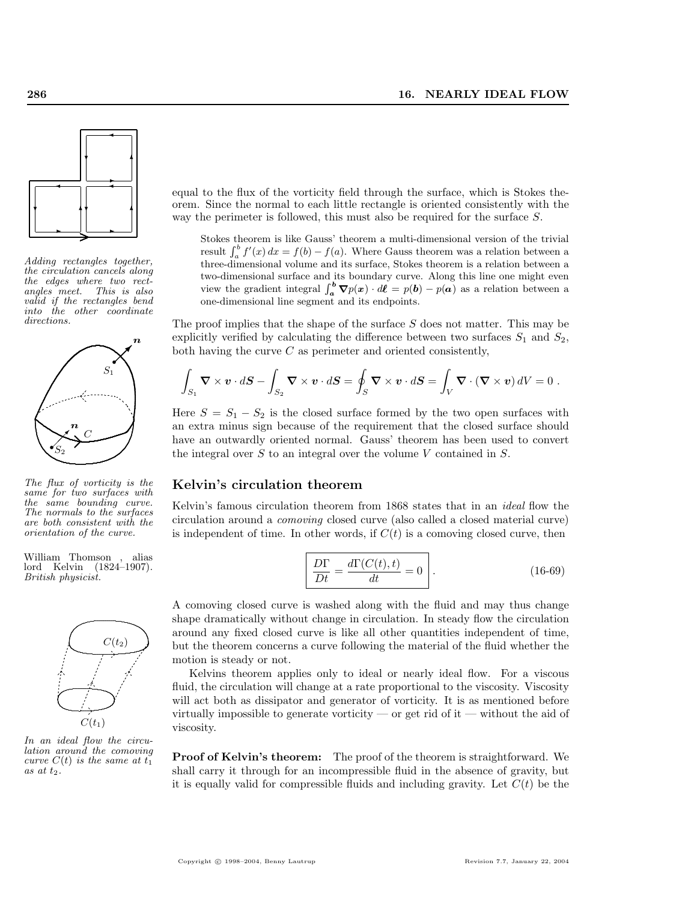

Adding rectangles together, the circulation cancels along the edges where two rectangles meet. This is also valid if the rectangles bend into the other coordinate directions.



The flux of vorticity is the same for two surfaces with the same bounding curve. The normals to the surfaces are both consistent with the orientation of the curve.

William Thomson , alias lord Kelvin (1824–1907). British physicist.



In an ideal flow the circulation around the comoving curve  $C(t)$  is the same at  $t_1$ as at  $t_2$ .

equal to the flux of the vorticity field through the surface, which is Stokes theorem. Since the normal to each little rectangle is oriented consistently with the way the perimeter is followed, this must also be required for the surface S.

Stokes theorem is like Gauss' theorem a multi-dimensional version of the trivial result  $\int_a^b f'(x) dx = f(b) - f(a)$ . Where Gauss theorem was a relation between a three-dimensional volume and its surface, Stokes theorem is a relation between a two-dimensional surface and its boundary curve. Along this line one might even view the gradient integral  $\int_a^b \nabla p(x) \cdot d\ell = p(b) - p(a)$  as a relation between a one-dimensional line segment and its endpoints.

The proof implies that the shape of the surface S does not matter. This may be explicitly verified by calculating the difference between two surfaces  $S_1$  and  $S_2$ , both having the curve  $C$  as perimeter and oriented consistently,

$$
\int_{S_1} \mathbf{\nabla} \times \mathbf{v} \cdot d\mathbf{S} - \int_{S_2} \mathbf{\nabla} \times \mathbf{v} \cdot d\mathbf{S} = \oint_S \mathbf{\nabla} \times \mathbf{v} \cdot d\mathbf{S} = \int_V \mathbf{\nabla} \cdot (\mathbf{\nabla} \times \mathbf{v}) dV = 0.
$$

Here  $S = S_1 - S_2$  is the closed surface formed by the two open surfaces with an extra minus sign because of the requirement that the closed surface should have an outwardly oriented normal. Gauss' theorem has been used to convert the integral over  $S$  to an integral over the volume  $V$  contained in  $S$ .

#### Kelvin's circulation theorem

Kelvin's famous circulation theorem from 1868 states that in an ideal flow the circulation around a comoving closed curve (also called a closed material curve) is independent of time. In other words, if  $C(t)$  is a comoving closed curve, then

$$
\frac{D\Gamma}{Dt} = \frac{d\Gamma(C(t),t)}{dt} = 0.
$$
\n(16-69)

A comoving closed curve is washed along with the fluid and may thus change shape dramatically without change in circulation. In steady flow the circulation around any fixed closed curve is like all other quantities independent of time, but the theorem concerns a curve following the material of the fluid whether the motion is steady or not.

Kelvins theorem applies only to ideal or nearly ideal flow. For a viscous fluid, the circulation will change at a rate proportional to the viscosity. Viscosity will act both as dissipator and generator of vorticity. It is as mentioned before virtually impossible to generate vorticity — or get rid of it — without the aid of viscosity.

Proof of Kelvin's theorem: The proof of the theorem is straightforward. We shall carry it through for an incompressible fluid in the absence of gravity, but it is equally valid for compressible fluids and including gravity. Let  $C(t)$  be the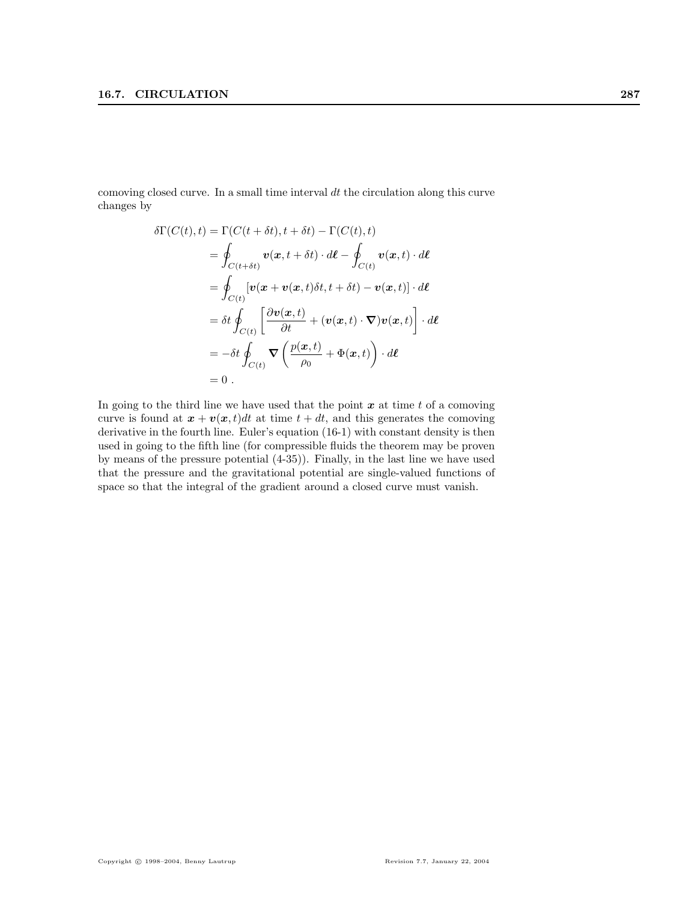comoving closed curve. In a small time interval  $dt$  the circulation along this curve changes by

$$
\delta\Gamma(C(t),t) = \Gamma(C(t+\delta t),t+\delta t) - \Gamma(C(t),t)
$$
\n
$$
= \oint_{C(t+\delta t)} \mathbf{v}(\mathbf{x},t+\delta t) \cdot d\boldsymbol{\ell} - \oint_{C(t)} \mathbf{v}(\mathbf{x},t) \cdot d\boldsymbol{\ell}
$$
\n
$$
= \oint_{C(t)} [\mathbf{v}(\mathbf{x} + \mathbf{v}(\mathbf{x},t)\delta t, t+\delta t) - \mathbf{v}(\mathbf{x},t)] \cdot d\boldsymbol{\ell}
$$
\n
$$
= \delta t \oint_{C(t)} \left[ \frac{\partial \mathbf{v}(\mathbf{x},t)}{\partial t} + (\mathbf{v}(\mathbf{x},t) \cdot \nabla) \mathbf{v}(\mathbf{x},t) \right] \cdot d\boldsymbol{\ell}
$$
\n
$$
= -\delta t \oint_{C(t)} \nabla \left( \frac{p(\mathbf{x},t)}{\rho_0} + \Phi(\mathbf{x},t) \right) \cdot d\boldsymbol{\ell}
$$
\n
$$
= 0.
$$

In going to the third line we have used that the point  $x$  at time  $t$  of a comoving curve is found at  $\mathbf{x} + \mathbf{v}(\mathbf{x}, t)dt$  at time  $t + dt$ , and this generates the comoving derivative in the fourth line. Euler's equation (16-1) with constant density is then used in going to the fifth line (for compressible fluids the theorem may be proven by means of the pressure potential (4-35)). Finally, in the last line we have used that the pressure and the gravitational potential are single-valued functions of space so that the integral of the gradient around a closed curve must vanish.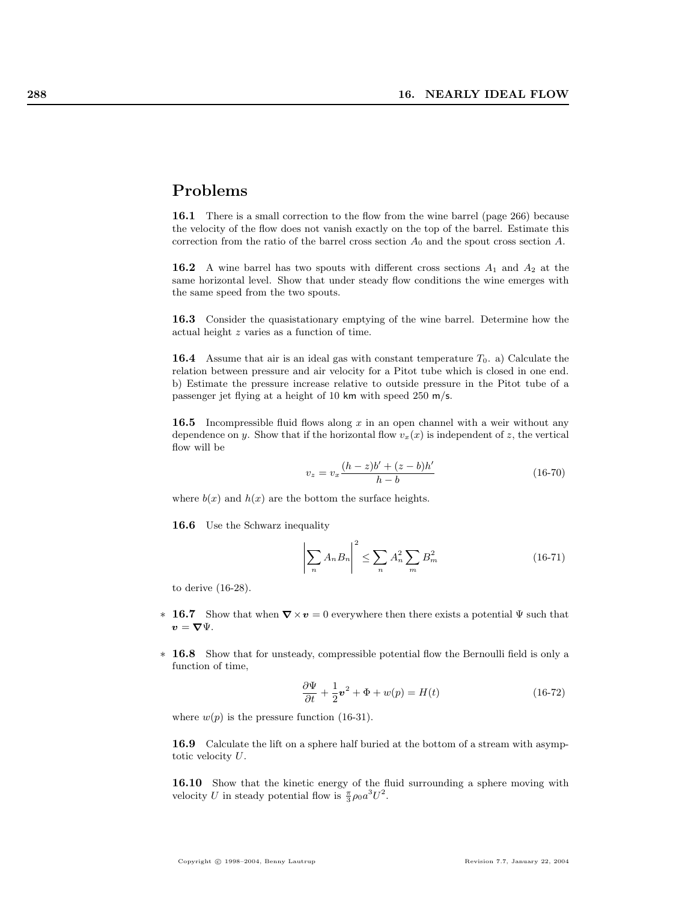### Problems

16.1 There is a small correction to the flow from the wine barrel (page 266) because the velocity of the flow does not vanish exactly on the top of the barrel. Estimate this correction from the ratio of the barrel cross section  $A_0$  and the spout cross section A.

**16.2** A wine barrel has two spouts with different cross sections  $A_1$  and  $A_2$  at the same horizontal level. Show that under steady flow conditions the wine emerges with the same speed from the two spouts.

16.3 Consider the quasistationary emptying of the wine barrel. Determine how the actual height z varies as a function of time.

**16.4** Assume that air is an ideal gas with constant temperature  $T_0$ . a) Calculate the relation between pressure and air velocity for a Pitot tube which is closed in one end. b) Estimate the pressure increase relative to outside pressure in the Pitot tube of a passenger jet flying at a height of 10 km with speed 250 m/s.

16.5 Incompressible fluid flows along x in an open channel with a weir without any dependence on y. Show that if the horizontal flow  $v_x(x)$  is independent of z, the vertical flow will be

$$
v_z = v_x \frac{(h-z)b' + (z-b)h'}{h-b}
$$
 (16-70)

where  $b(x)$  and  $h(x)$  are the bottom the surface heights.

16.6 Use the Schwarz inequality

$$
\left| \sum_{n} A_{n} B_{n} \right|^{2} \leq \sum_{n} A_{n}^{2} \sum_{m} B_{m}^{2} \tag{16-71}
$$

to derive (16-28).

- $\ast$  16.7 Show that when  $\nabla \times v = 0$  everywhere then there exists a potential  $\Psi$  such that  $v = \nabla \Psi.$
- ∗ 16.8 Show that for unsteady, compressible potential flow the Bernoulli field is only a function of time,

$$
\frac{\partial \Psi}{\partial t} + \frac{1}{2} \mathbf{v}^2 + \Phi + w(p) = H(t)
$$
 (16-72)

where  $w(p)$  is the pressure function (16-31).

16.9 Calculate the lift on a sphere half buried at the bottom of a stream with asymptotic velocity U.

16.10 Show that the kinetic energy of the fluid surrounding a sphere moving with velocity U in steady potential flow is  $\frac{\pi}{3} \rho_0 a^3 U^2$ .